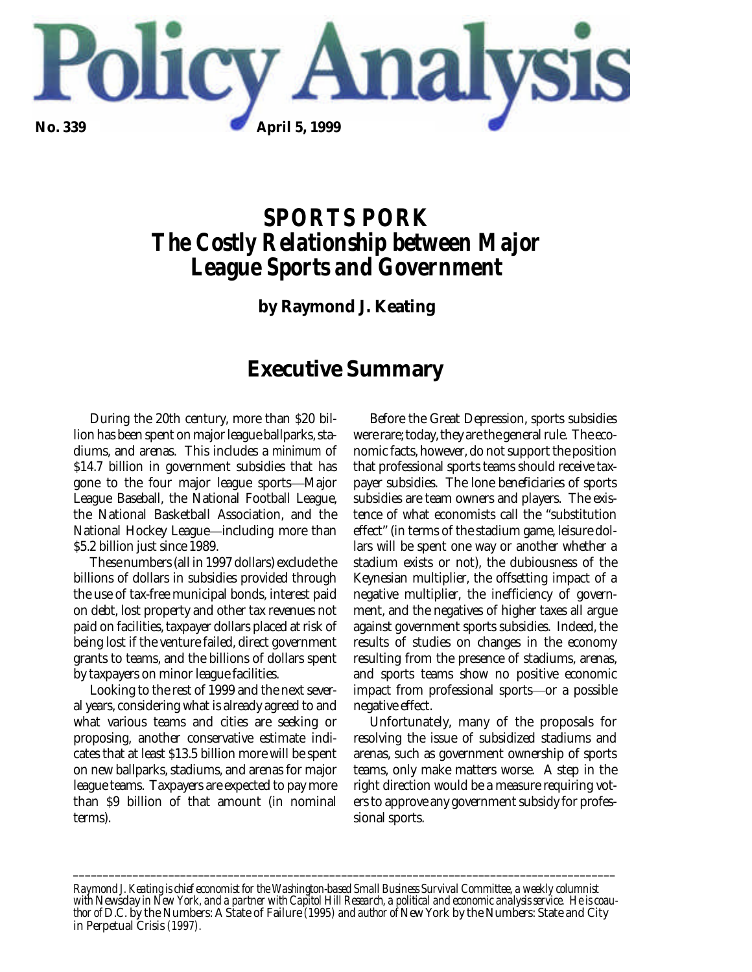

# *SPORTS PORK The Costly Relationship between Major League Sports and Government*

**by Raymond J. Keating**

## **Executive Summary**

During the 20th century, more than \$20 billion has been spent on major league ballparks, stadiums, and arenas. This includes a *minimum* of \$14.7 billion in government subsidies that has gone to the four major league sports—Major League Baseball, the National Football League, the National Basketball Association, and the National Hockey League—including more than \$5.2 billion just since 1989.

These numbers (all in 1997 dollars) exclude the billions of dollars in subsidies provided through the use of tax-free municipal bonds, interest paid on debt, lost property and other tax revenues not paid on facilities, taxpayer dollars placed at risk of being lost if the venture failed, direct government grants to teams, and the billions of dollars spent by taxpayers on minor league facilities.

Looking to the rest of 1999 and the next several years, considering what is already agreed to and what various teams and cities are seeking or proposing, another conservative estimate indicates that at least \$13.5 billion more will be spent on new ballparks, stadiums, and arenas for major league teams. Taxpayers are expected to pay more than \$9 billion of that amount (in nominal terms).

Before the Great Depression, sports subsidies were rare; today, they are the general rule. The economic facts, however, do not support the position that professional sports teams should receive taxpayer subsidies. The lone beneficiaries of sports subsidies are team owners and players. The existence of what economists call the "substitution effect" (in terms of the stadium game, leisure dollars will be spent one way or another whether a stadium exists or not), the dubiousness of the Keynesian multiplier, the offsetting impact of a negative multiplier, the inefficiency of government, and the negatives of higher taxes all argue against government sports subsidies. Indeed, the results of studies on changes in the economy resulting from the presence of stadiums, arenas, and sports teams show no positive economic impact from professional sports—or a possible negative effect.

Unfortunately, many of the proposals for resolving the issue of subsidized stadiums and arenas, such as government ownership of sports teams, only make matters worse. A step in the right direction would be a measure requiring voters to approve any government subsidy for professional sports.

*Raymond J. Keating is chief economist for the Washington-based Small Business Survival Committee, a weekly columnist with* Newsday *in New York, and a partner with Capitol Hill Research, a political and economic analysis service. He is coauthor of* D.C. by the Numbers: A State of Failure *(1995) and author of* New York by the Numbers: State and City in Perpetual Crisis *(1997).*

*\_\_\_\_\_\_\_\_\_\_\_\_\_\_\_\_\_\_\_\_\_\_\_\_\_\_\_\_\_\_\_\_\_\_\_\_\_\_\_\_\_\_\_\_\_\_\_\_\_\_\_\_\_\_\_\_\_\_\_\_\_\_\_\_\_\_\_\_\_\_\_\_\_\_\_\_\_\_\_\_\_\_\_\_\_\_\_\_\_\_\_*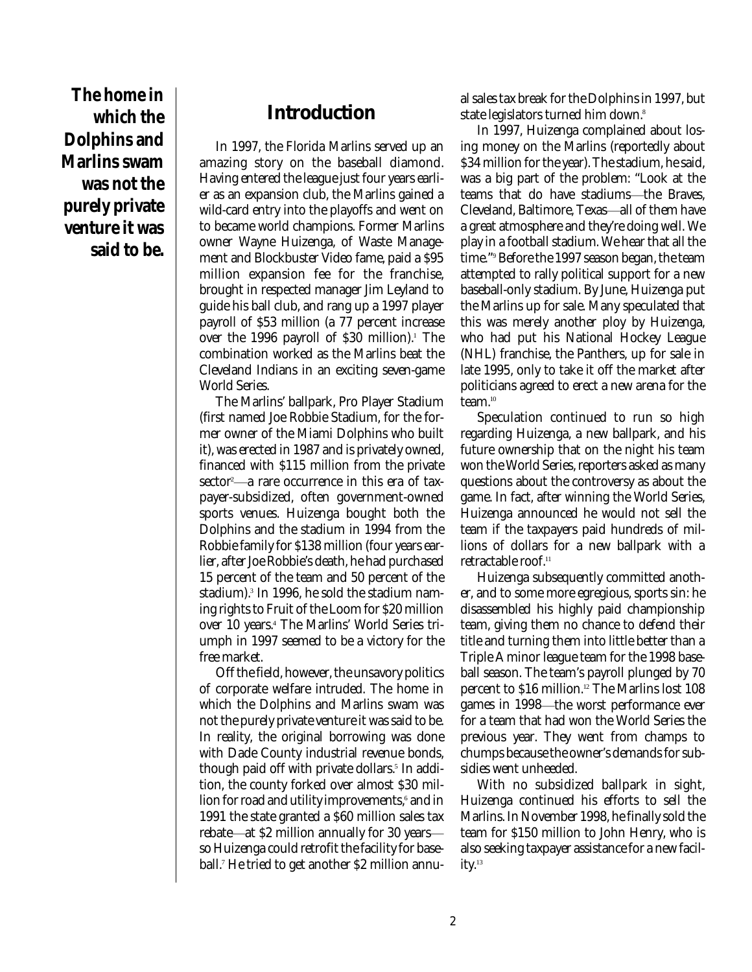**The home in which the Dolphins and Marlins swam was not the purely private venture it was said to be.**

### **Introduction**

In 1997, the Florida Marlins served up an amazing story on the baseball diamond. Having entered the league just four years earlier as an expansion club, the Marlins gained a wild-card entry into the playoffs and went on to became world champions. Former Marlins owner Wayne Huizenga, of Waste Management and Blockbuster Video fame, paid a \$95 million expansion fee for the franchise, brought in respected manager Jim Leyland to guide his ball club, and rang up a 1997 player payroll of \$53 million (a 77 percent increase over the 1996 payroll of \$30 million). <sup>1</sup> The combination worked as the Marlins beat the Cleveland Indians in an exciting seven-game World Series.

The Marlins' ballpark, Pro Player Stadium (first named Joe Robbie Stadium, for the former owner of the Miami Dolphins who built it), was erected in 1987 and is privately owned, financed with \$115 million from the private sector<sup>2</sup>—a rare occurrence in this era of taxpayer-subsidized, often government-owned sports venues. Huizenga bought both the Dolphins and the stadium in 1994 from the Robbie family for \$138 million (four years earlier, after Joe Robbie's death, he had purchased 15 percent of the team and 50 percent of the stadium). 3 In 1996, he sold the stadium naming rights to Fruit of the Loom for \$20 million over 10 years. <sup>4</sup> The Marlins' World Series triumph in 1997 seemed to be a victory for the free market.

Off the field, however, the unsavory politics of corporate welfare intruded. The home in which the Dolphins and Marlins swam was not the purely private venture it was said to be. In reality, the original borrowing was done with Dade County industrial revenue bonds, though paid off with private dollars. 5 In addition, the county forked over almost \$30 million for road and utility improvements, 6 and in 1991 the state granted a \$60 million sales tax rebate—at \$2 million annually for 30 years so Huizenga could retrofit the facility for baseball. <sup>7</sup> He tried to get another \$2 million annual sales tax break for the Dolphins in 1997, but state legislators turned him down. 8

In 1997, Huizenga complained about losing money on the Marlins (reportedly about \$34 million for the year). The stadium, he said, was a big part of the problem: "Look at the teams that do have stadiums-the Braves, Cleveland, Baltimore, Texas-all of them have a great atmosphere and they're doing well. We play in a football stadium. We hear that all the time." <sup>9</sup> Before the 1997 season began, the team attempted to rally political support for a new baseball-only stadium. By June, Huizenga put the Marlins up for sale. Many speculated that this was merely another ploy by Huizenga, who had put his National Hockey League (NHL) franchise, the Panthers, up for sale in late 1995, only to take it off the market after politicians agreed to erect a new arena for the team. 10

Speculation continued to run so high regarding Huizenga, a new ballpark, and his future ownership that on the night his team won the World Series, reporters asked as many questions about the controversy as about the game. In fact, after winning the World Series, Huizenga announced he would not sell the team if the taxpayers paid hundreds of millions of dollars for a new ballpark with a retractable roof. 11

Huizenga subsequently committed another, and to some more egregious, sports sin: he disassembled his highly paid championship team, giving them no chance to defend their title and turning them into little better than a Triple A minor league team for the 1998 baseball season. The team's payroll plunged by 70 percent to \$16 million. <sup>12</sup> The Marlins lost 108 games in 1998—the worst performance ever for a team that had won the World Series the previous year. They went from champs to chumps because the owner's demands for subsidies went unheeded.

With no subsidized ballpark in sight, Huizenga continued his efforts to sell the Marlins. In November 1998, he finally sold the team for \$150 million to John Henry, who is also seeking taxpayer assistance for a new facility.<sup>13</sup>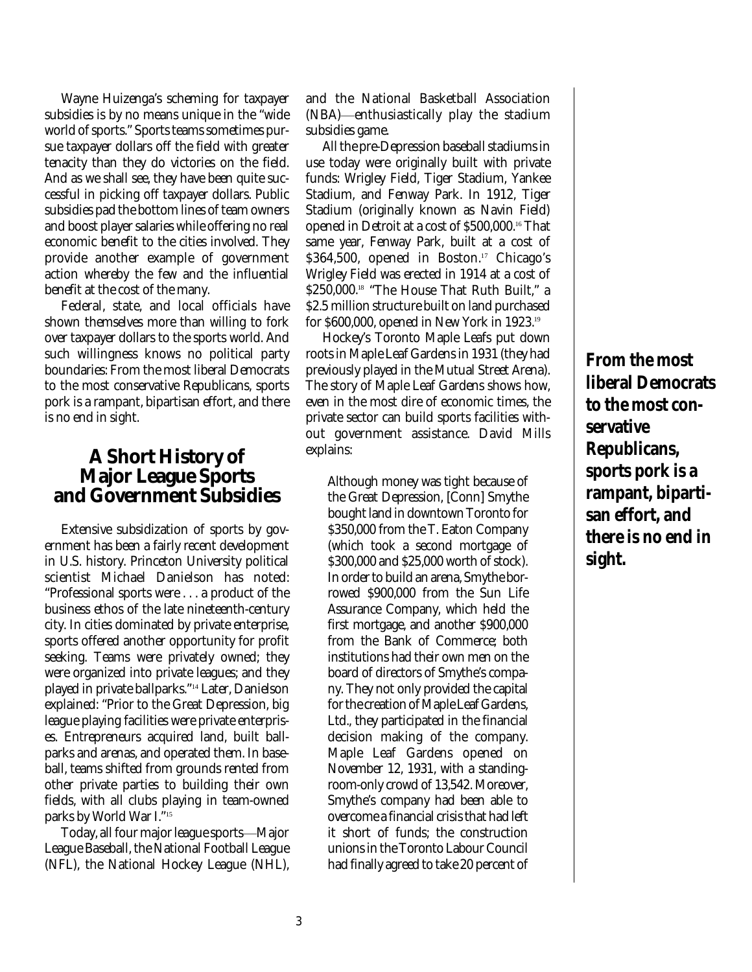Wayne Huizenga's scheming for taxpayer subsidies is by no means unique in the "wide world of sports." Sports teams sometimes pursue taxpayer dollars off the field with greater tenacity than they do victories on the field. And as we shall see, they have been quite successful in picking off taxpayer dollars. Public subsidies pad the bottom lines of team owners and boost player salaries while offering no real economic benefit to the cities involved. They provide another example of government action whereby the few and the influential benefit at the cost of the many.

Federal, state, and local officials have shown themselves more than willing to fork over taxpayer dollars to the sports world. And such willingness knows no political party boundaries: From the most liberal Democrats to the most conservative Republicans, sports pork is a rampant, bipartisan effort, and there is no end in sight.

### **A Short History of Major League Sports and Government Subsidies**

Extensive subsidization of sports by government has been a fairly recent development in U.S. history. Princeton University political scientist Michael Danielson has noted: "Professional sports were . . . a product of the business ethos of the late nineteenth-century city. In cities dominated by private enterprise, sports offered another opportunity for profit seeking. Teams were privately owned; they were organized into private leagues; and they played in private ballparks." <sup>14</sup> Later, Danielson explained: "Prior to the Great Depression, big league playing facilities were private enterprises. Entrepreneurs acquired land, built ballparks and arenas, and operated them. In baseball, teams shifted from grounds rented from other private parties to building their own fields, with all clubs playing in team-owned parks by World War I." 15

Today, all four major league sports—Major League Baseball, the National Football League (NFL), the National Hockey League (NHL),

and the National Basketball Association (NBA)—enthusiastically play the stadium subsidies game.

All the pre-Depression baseball stadiums in use today were originally built with private funds: Wrigley Field, Tiger Stadium, Yankee Stadium, and Fenway Park. In 1912, Tiger Stadium (originally known as Navin Field) opened in Detroit at a cost of \$500,000. <sup>16</sup> That same year, Fenway Park, built at a cost of \$364,500, opened in Boston. <sup>17</sup> Chicago's Wrigley Field was erected in 1914 at a cost of \$250,000.<sup>18</sup> "The House That Ruth Built," a \$2.5 million structure built on land purchased for \$600,000, opened in New York in 1923. 19

Hockey's Toronto Maple Leafs put down roots in Maple Leaf Gardens in 1931 (they had previously played in the Mutual Street Arena). The story of Maple Leaf Gardens shows how, even in the most dire of economic times, the private sector can build sports facilities without government assistance. David Mills explains:

Although money was tight because of the Great Depression, [Conn] Smythe bought land in downtown Toronto for \$350,000 from the T. Eaton Company (which took a second mortgage of \$300,000 and \$25,000 worth of stock). In order to build an arena, Smythe borrowed \$900,000 from the Sun Life Assurance Company, which held the first mortgage, and another \$900,000 from the Bank of Commerce; both institutions had their own men on the board of directors of Smythe's company. They not only provided the capital for the creation of Maple Leaf Gardens, Ltd., they participated in the financial decision making of the company. Maple Leaf Gardens opened on November 12, 1931, with a standingroom-only crowd of 13,542. Moreover, Smythe's company had been able to overcome a financial crisis that had left it short of funds; the construction unions in the Toronto Labour Council had finally agreed to take 20 percent of

**From the most liberal Democrats to the most conservative Republicans, sports pork is a rampant, bipartisan effort, and there is no end in sight.**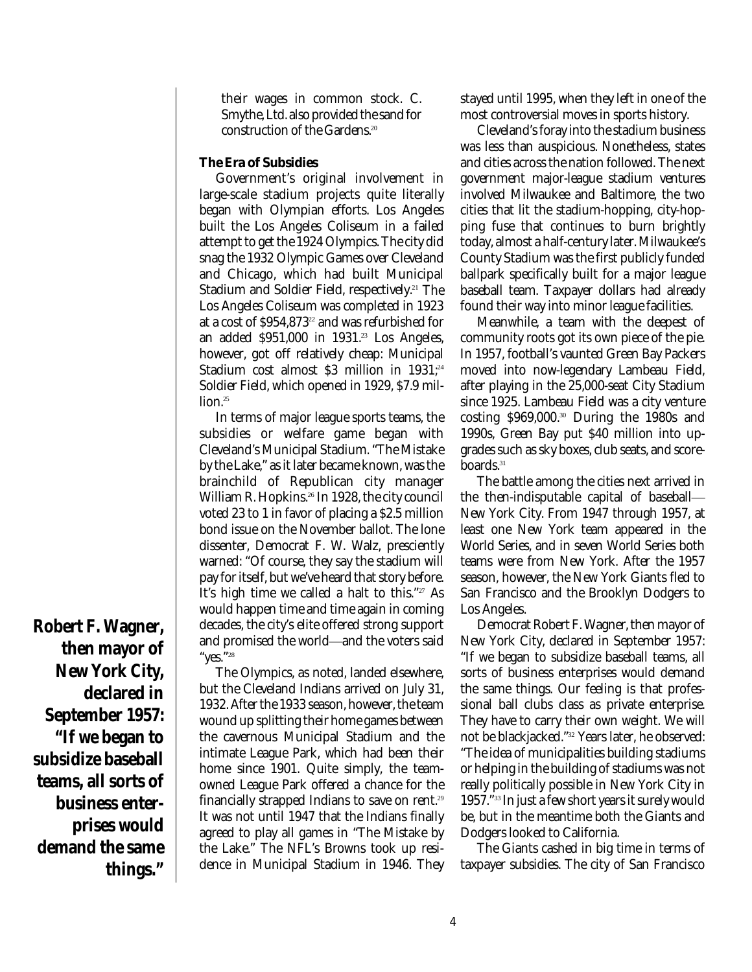their wages in common stock. C. Smythe, Ltd. also provided the sand for construction of the Gardens. 20

#### **The Era of Subsidies**

Government's original involvement in large-scale stadium projects quite literally began with Olympian efforts. Los Angeles built the Los Angeles Coliseum in a failed attempt to get the 1924 Olympics. The city did snag the 1932 Olympic Games over Cleveland and Chicago, which had built Municipal Stadium and Soldier Field, respectively. <sup>21</sup> The Los Angeles Coliseum was completed in 1923 at a cost of \$954,873 22 and was refurbished for an added \$951,000 in 1931. <sup>23</sup> Los Angeles, however, got off relatively cheap: Municipal Stadium cost almost \$3 million in 1931; 24 Soldier Field, which opened in 1929, \$7.9 million. 25

In terms of major league sports teams, the subsidies or welfare game began with Cleveland's Municipal Stadium. "The Mistake by the Lake," as it later became known, was the brainchild of Republican city manager William R. Hopkins. 26 In 1928, the city council voted 23 to 1 in favor of placing a \$2.5 million bond issue on the November ballot. The lone dissenter, Democrat F. W. Walz, presciently warned: "Of course, they say the stadium will pay for itself, but we've heard that story before. It's high time we called a halt to this." <sup>27</sup> As would happen time and time again in coming decades, the city's elite offered strong support and promised the world—and the voters said "yes." 28

The Olympics, as noted, landed elsewhere, but the Cleveland Indians arrived on July 31, 1932. After the 1933 season, however, the team wound up splitting their home games between the cavernous Municipal Stadium and the intimate League Park, which had been their home since 1901. Quite simply, the teamowned League Park offered a chance for the financially strapped Indians to save on rent. 29 It was not until 1947 that the Indians finally agreed to play all games in "The Mistake by the Lake." The NFL's Browns took up residence in Municipal Stadium in 1946. They stayed until 1995, when they left in one of the most controversial moves in sports history.

Cleveland's foray into the stadium business was less than auspicious. Nonetheless, states and cities across the nation followed. The next government major-league stadium ventures involved Milwaukee and Baltimore, the two cities that lit the stadium-hopping, city-hopping fuse that continues to burn brightly today, almost a half-century later. Milwaukee's County Stadium was the first publicly funded ballpark specifically built for a major league baseball team. Taxpayer dollars had already found their way into minor league facilities.

Meanwhile, a team with the deepest of community roots got its own piece of the pie. In 1957, football's vaunted Green Bay Packers moved into now-legendary Lambeau Field, after playing in the 25,000-seat City Stadium since 1925. Lambeau Field was a city venture costing \$969,000. <sup>30</sup> During the 1980s and 1990s, Green Bay put \$40 million into upgrades such as sky boxes, club seats, and scoreboards. 31

The battle among the cities next arrived in the then-indisputable capital of baseball— New York City. From 1947 through 1957, at least one New York team appeared in the World Series, and in seven World Series both teams were from New York. After the 1957 season, however, the New York Giants fled to San Francisco and the Brooklyn Dodgers to Los Angeles.

Democrat Robert F. Wagner, then mayor of New York City, declared in September 1957: "If we began to subsidize baseball teams, all sorts of business enterprises would demand the same things. Our feeling is that professional ball clubs class as private enterprise. They have to carry their own weight. We will not be blackjacked." <sup>32</sup> Years later, he observed: "The idea of municipalities building stadiums or helping in the building of stadiums was not really politically possible in New York City in 1957." 33 In just a few short years it surely would be, but in the meantime both the Giants and Dodgers looked to California.

The Giants cashed in big time in terms of taxpayer subsidies. The city of San Francisco

**then mayor of New York City, declared in September 1957: "If we began to subsidize baseball teams, all sorts of business enterprises would demand the same things."**

**Robert F. Wagner,**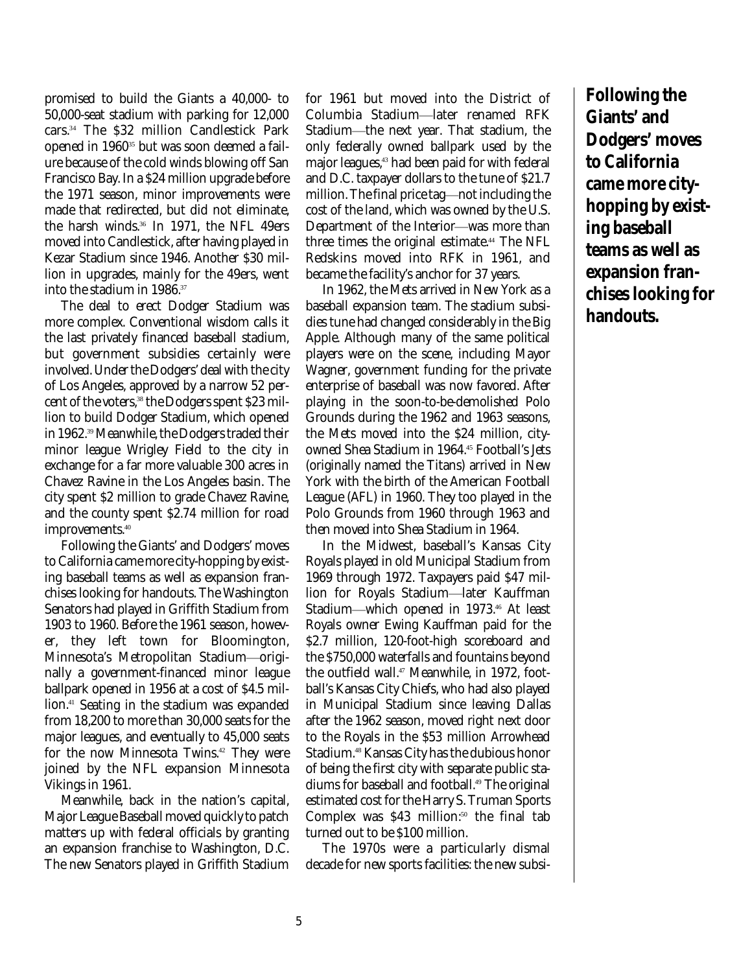promised to build the Giants a 40,000- to 50,000-seat stadium with parking for 12,000 cars. <sup>34</sup> The \$32 million Candlestick Park opened in 1960 <sup>35</sup> but was soon deemed a failure because of the cold winds blowing off San Francisco Bay. In a \$24 million upgrade before the 1971 season, minor improvements were made that redirected, but did not eliminate, the harsh winds. 36 In 1971, the NFL 49ers moved into Candlestick, after having played in Kezar Stadium since 1946. Another \$30 million in upgrades, mainly for the 49ers, went into the stadium in 1986. 37

The deal to erect Dodger Stadium was more complex. Conventional wisdom calls it the last privately financed baseball stadium, but government subsidies certainly were involved. Under the Dodgers' deal with the city of Los Angeles, approved by a narrow 52 percent of the voters, 38 the Dodgers spent \$23 million to build Dodger Stadium, which opened in 1962. <sup>39</sup>Meanwhile, the Dodgers traded their minor league Wrigley Field to the city in exchange for a far more valuable 300 acres in Chavez Ravine in the Los Angeles basin. The city spent \$2 million to grade Chavez Ravine, and the county spent \$2.74 million for road improvements. 40

Following the Giants' and Dodgers' moves to California came more city-hopping by existing baseball teams as well as expansion franchises looking for handouts. The Washington Senators had played in Griffith Stadium from 1903 to 1960. Before the 1961 season, however, they left town for Bloomington, Minnesota's Metropolitan Stadium-originally a government-financed minor league ballpark opened in 1956 at a cost of \$4.5 million. <sup>41</sup> Seating in the stadium was expanded from 18,200 to more than 30,000 seats for the major leagues, and eventually to 45,000 seats for the now Minnesota Twins. <sup>42</sup> They were joined by the NFL expansion Minnesota Vikings in 1961.

Meanwhile, back in the nation's capital, Major League Baseball moved quickly to patch matters up with federal officials by granting an expansion franchise to Washington, D.C. The new Senators played in Griffith Stadium

for 1961 but moved into the District of Columbia Stadium-later renamed RFK Stadium-the next year. That stadium, the only federally owned ballpark used by the major leagues, <sup>43</sup> had been paid for with federal and D.C. taxpayer dollars to the tune of \$21.7 million. The final price tag-not including the cost of the land, which was owned by the U.S. Department of the Interior—was more than three times the original estimate. <sup>44</sup> The NFL Redskins moved into RFK in 1961, and became the facility's anchor for 37 years.

In 1962, the Mets arrived in New York as a baseball expansion team. The stadium subsidies tune had changed considerably in the Big Apple. Although many of the same political players were on the scene, including Mayor Wagner, government funding for the private enterprise of baseball was now favored. After playing in the soon-to-be-demolished Polo Grounds during the 1962 and 1963 seasons, the Mets moved into the \$24 million, cityowned Shea Stadium in 1964. <sup>45</sup> Football's Jets (originally named the Titans) arrived in New York with the birth of the American Football League (AFL) in 1960. They too played in the Polo Grounds from 1960 through 1963 and then moved into Shea Stadium in 1964.

In the Midwest, baseball's Kansas City Royals played in old Municipal Stadium from 1969 through 1972. Taxpayers paid \$47 million for Royals Stadium-later Kauffman Stadium—which opened in 1973.46 At least Royals owner Ewing Kauffman paid for the \$2.7 million, 120-foot-high scoreboard and the \$750,000 waterfalls and fountains beyond the outfield wall. <sup>47</sup> Meanwhile, in 1972, football's Kansas City Chiefs, who had also played in Municipal Stadium since leaving Dallas after the 1962 season, moved right next door to the Royals in the \$53 million Arrowhead Stadium. <sup>48</sup> Kansas City has the dubious honor of being the first city with separate public stadiums for baseball and football. <sup>49</sup> The original estimated cost for the Harry S. Truman Sports Complex was \$43 million:<sup>50</sup> the final tab turned out to be \$100 million.

The 1970s were a particularly dismal decade for new sports facilities: the new subsi**Following the Giants' and Dodgers' moves to California came more cityhopping by existing baseball teams as well as expansion franchises looking for handouts.**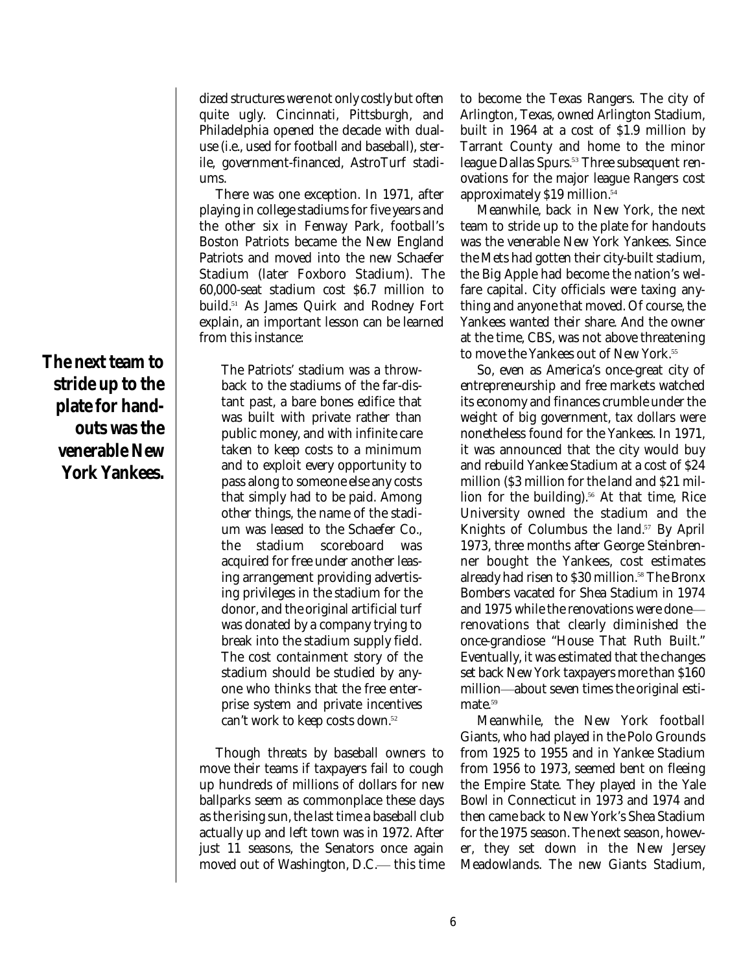dized structures were not only costly but often quite ugly. Cincinnati, Pittsburgh, and Philadelphia opened the decade with dualuse (i.e., used for football and baseball), sterile, government-financed, AstroTurf stadiums.

There was one exception. In 1971, after playing in college stadiums for five years and the other six in Fenway Park, football's Boston Patriots became the New England Patriots and moved into the new Schaefer Stadium (later Foxboro Stadium). The 60,000-seat stadium cost \$6.7 million to build. <sup>51</sup> As James Quirk and Rodney Fort explain, an important lesson can be learned from this instance:

The Patriots' stadium was a throwback to the stadiums of the far-distant past, a bare bones edifice that was built with private rather than public money, and with infinite care taken to keep costs to a minimum and to exploit every opportunity to pass along to someone else any costs that simply had to be paid. Among other things, the name of the stadium was leased to the Schaefer Co., the stadium scoreboard was acquired for free under another leasing arrangement providing advertising privileges in the stadium for the donor, and the original artificial turf was donated by a company trying to break into the stadium supply field. The cost containment story of the stadium should be studied by anyone who thinks that the free enterprise system and private incentives can't work to keep costs down. 52

Though threats by baseball owners to move their teams if taxpayers fail to cough up hundreds of millions of dollars for new ballparks seem as commonplace these days as the rising sun, the last time a baseball club actually up and left town was in 1972. After just 11 seasons, the Senators once again moved out of Washington, D.C. this time to become the Texas Rangers. The city of Arlington, Texas, owned Arlington Stadium, built in 1964 at a cost of \$1.9 million by Tarrant County and home to the minor league Dallas Spurs. <sup>53</sup> Three subsequent renovations for the major league Rangers cost approximately \$19 million. 54

Meanwhile, back in New York, the next team to stride up to the plate for handouts was the venerable New York Yankees. Since the Mets had gotten their city-built stadium, the Big Apple had become the nation's welfare capital. City officials were taxing anything and anyone that moved. Of course, the Yankees wanted their share. And the owner at the time, CBS, was not above threatening to move the Yankees out of New York. 55

So, even as America's once-great city of entrepreneurship and free markets watched its economy and finances crumble under the weight of big government, tax dollars were nonetheless found for the Yankees. In 1971, it was announced that the city would buy and rebuild Yankee Stadium at a cost of \$24 million (\$3 million for the land and \$21 million for the building). <sup>56</sup> At that time, Rice University owned the stadium and the Knights of Columbus the land. <sup>57</sup> By April 1973, three months after George Steinbrenner bought the Yankees, cost estimates already had risen to \$30 million. <sup>58</sup> The Bronx Bombers vacated for Shea Stadium in 1974 and 1975 while the renovations were done renovations that clearly diminished the once-grandiose "House That Ruth Built." Eventually, it was estimated that the changes set back New York taxpayers more than \$160 million—about seven times the original estimate. 59

Meanwhile, the New York football Giants, who had played in the Polo Grounds from 1925 to 1955 and in Yankee Stadium from 1956 to 1973, seemed bent on fleeing the Empire State. They played in the Yale Bowl in Connecticut in 1973 and 1974 and then came back to New York's Shea Stadium for the 1975 season. The next season, however, they set down in the New Jersey Meadowlands. The new Giants Stadium,

**The next team to stride up to the plate for handouts was the venerable New York Yankees.**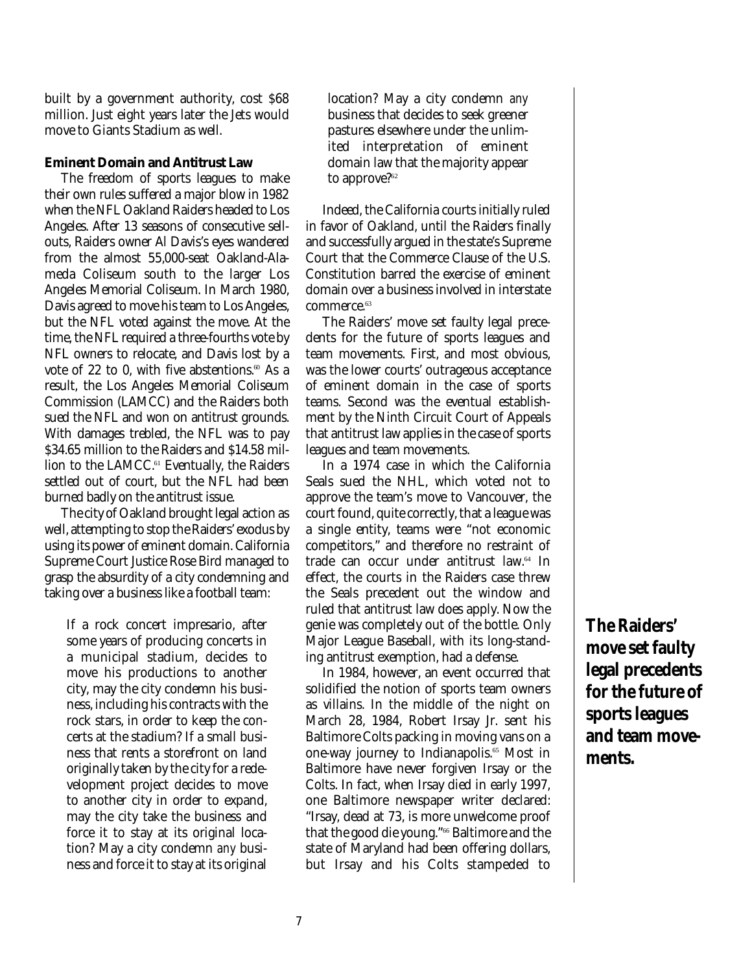built by a government authority, cost \$68 million. Just eight years later the Jets would move to Giants Stadium as well.

#### **Eminent Domain and Antitrust Law**

The freedom of sports leagues to make their own rules suffered a major blow in 1982 when the NFL Oakland Raiders headed to Los Angeles. After 13 seasons of consecutive sellouts, Raiders owner Al Davis's eyes wandered from the almost 55,000-seat Oakland-Alameda Coliseum south to the larger Los Angeles Memorial Coliseum. In March 1980, Davis agreed to move his team to Los Angeles, but the NFL voted against the move. At the time, the NFL required a three-fourths vote by NFL owners to relocate, and Davis lost by a vote of 22 to 0, with five abstentions. $^{\omega}$  As a result, the Los Angeles Memorial Coliseum Commission (LAMCC) and the Raiders both sued the NFL and won on antitrust grounds. With damages trebled, the NFL was to pay \$34.65 million to the Raiders and \$14.58 million to the LAMCC. <sup>61</sup> Eventually, the Raiders settled out of court, but the NFL had been burned badly on the antitrust issue.

The city of Oakland brought legal action as well, attempting to stop the Raiders' exodus by using its power of eminent domain. California Supreme Court Justice Rose Bird managed to grasp the absurdity of a city condemning and taking over a business like a football team:

If a rock concert impresario, after some years of producing concerts in a municipal stadium, decides to move his productions to another city, may the city condemn his business, including his contracts with the rock stars, in order to keep the concerts at the stadium? If a small business that rents a storefront on land originally taken by the city for a redevelopment project decides to move to another city in order to expand, may the city take the business and force it to stay at its original location? May a city condemn *any* business and force it to stay at its original

location? May a city condemn *any* business that decides to seek greener pastures elsewhere under the unlimited interpretation of eminent domain law that the majority appear to approve? 62

Indeed, the California courts initially ruled in favor of Oakland, until the Raiders finally and successfully argued in the state's Supreme Court that the Commerce Clause of the U.S. Constitution barred the exercise of eminent domain over a business involved in interstate commerce. 63

The Raiders' move set faulty legal precedents for the future of sports leagues and team movements. First, and most obvious, was the lower courts' outrageous acceptance of eminent domain in the case of sports teams. Second was the eventual establishment by the Ninth Circuit Court of Appeals that antitrust law applies in the case of sports leagues and team movements.

In a 1974 case in which the California Seals sued the NHL, which voted not to approve the team's move to Vancouver, the court found, quite correctly, that a league was a single entity, teams were "not economic competitors," and therefore no restraint of trade can occur under antitrust law. 64 In effect, the courts in the Raiders case threw the Seals precedent out the window and ruled that antitrust law does apply. Now the genie was completely out of the bottle. Only Major League Baseball, with its long-standing antitrust exemption, had a defense.

In 1984, however, an event occurred that solidified the notion of sports team owners as villains. In the middle of the night on March 28, 1984, Robert Irsay Jr. sent his Baltimore Colts packing in moving vans on a one-way journey to Indianapolis. <sup>65</sup> Most in Baltimore have never forgiven Irsay or the Colts. In fact, when Irsay died in early 1997, one Baltimore newspaper writer declared: "Irsay, dead at 73, is more unwelcome proof that the good die young." <sup>66</sup> Baltimore and the state of Maryland had been offering dollars, but Irsay and his Colts stampeded to

**The Raiders' move set faulty legal precedents for the future of sports leagues and team movements.**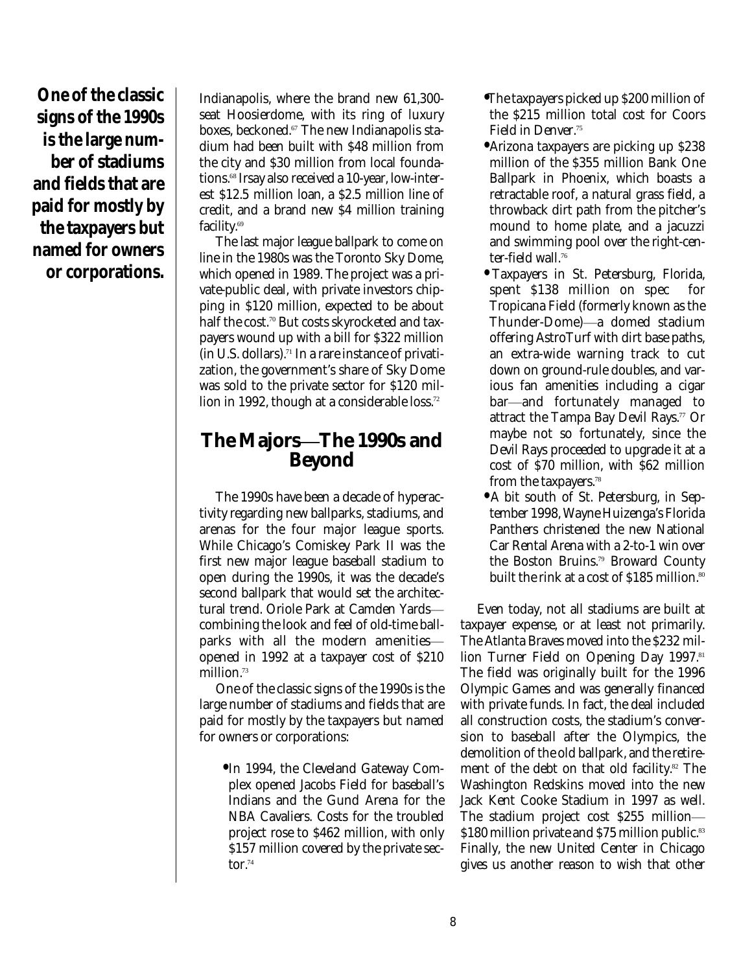**One of the classic signs of the 1990s is the large number of stadiums and fields that are paid for mostly by the taxpayers but named for owners or corporations.**

Indianapolis, where the brand new 61,300 seat Hoosierdome, with its ring of luxury boxes, beckoned. <sup>67</sup> The new Indianapolis stadium had been built with \$48 million from the city and \$30 million from local foundations. 68 Irsay also received a 10-year, low-interest \$12.5 million loan, a \$2.5 million line of credit, and a brand new \$4 million training facility. 69

The last major league ballpark to come on line in the 1980s was the Toronto Sky Dome, which opened in 1989. The project was a private-public deal, with private investors chipping in \$120 million, expected to be about half the cost. <sup>70</sup> But costs skyrocketed and taxpayers wound up with a bill for \$322 million (in U.S. dollars). 71 In a rare instance of privatization, the government's share of Sky Dome was sold to the private sector for \$120 million in 1992, though at a considerable loss. 72

## **The MajorsóThe 1990s and Beyond**

The 1990s have been a decade of hyperactivity regarding new ballparks, stadiums, and arenas for the four major league sports. While Chicago's Comiskey Park II was the first new major league baseball stadium to open during the 1990s, it was the decade's second ballpark that would set the architectural trend. Oriole Park at Camden Yardscombining the look and feel of old-time ballparks with all the modern amenitiesopened in 1992 at a taxpayer cost of \$210 million. 73

One of the classic signs of the 1990s is the large number of stadiums and fields that are paid for mostly by the taxpayers but named for owners or corporations:

**•** In 1994, the Cleveland Gateway Complex opened Jacobs Field for baseball's Indians and the Gund Arena for the NBA Cavaliers. Costs for the troubled project rose to \$462 million, with only \$157 million covered by the private sector. 74

- **•** The taxpayers picked up \$200 million of the \$215 million total cost for Coors Field in Denver. 75
- **•** Arizona taxpayers are picking up \$238 million of the \$355 million Bank One Ballpark in Phoenix, which boasts a retractable roof, a natural grass field, a throwback dirt path from the pitcher's mound to home plate, and a jacuzzi and swimming pool over the right-center-field wall. 76
- **•** Taxpayers in St. Petersburg, Florida, spent \$138 million on spec for Tropicana Field (formerly known as the Thunder-Dome)—a domed stadium offering AstroTurf with dirt base paths, an extra-wide warning track to cut down on ground-rule doubles, and various fan amenities including a cigar bar—and fortunately managed to attract the Tampa Bay Devil Rays. <sup>77</sup> Or maybe not so fortunately, since the Devil Rays proceeded to upgrade it at a cost of \$70 million, with \$62 million from the taxpayers. 78
- **•** A bit south of St. Petersburg, in September 1998, Wayne Huizenga's Florida Panthers christened the new National Car Rental Arena with a 2-to-1 win over the Boston Bruins. <sup>79</sup> Broward County built the rink at a cost of \$185 million.<sup>80</sup>

Even today, not all stadiums are built at taxpayer expense, or at least not primarily. The Atlanta Braves moved into the \$232 million Turner Field on Opening Day 1997. 81 The field was originally built for the 1996 Olympic Games and was generally financed with private funds. In fact, the deal included all construction costs, the stadium's conversion to baseball after the Olympics, the demolition of the old ballpark, and the retirement of the debt on that old facility. <sup>82</sup> The Washington Redskins moved into the new Jack Kent Cooke Stadium in 1997 as well. The stadium project cost \$255 million— \$180 million private and \$75 million public.<sup>83</sup> Finally, the new United Center in Chicago gives us another reason to wish that other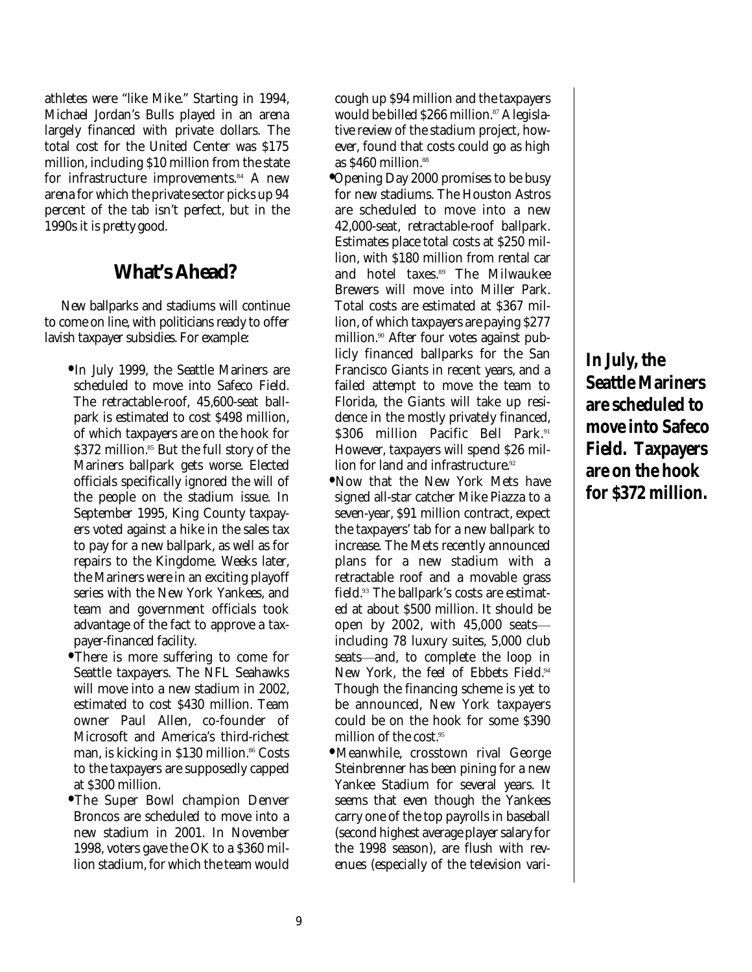athletes were "like Mike." Starting in 1994, Michael Jordan's Bulls played in an arena largely financed with private dollars. The total cost for the United Center was \$175 million, including \$10 million from the state for infrastructure improvements. <sup>84</sup> A new arena for which the private sector picks up 94 percent of the tab isn't perfect, but in the 1990s it is pretty good.

## **What's Ahead?**

New ballparks and stadiums will continue to come on line, with politicians ready to offer lavish taxpayer subsidies. For example:

- **•** In July 1999, the Seattle Mariners are scheduled to move into Safeco Field. The retractable-roof, 45,600-seat ballpark is estimated to cost \$498 million, of which taxpayers are on the hook for \$372 million. <sup>85</sup> But the full story of the Mariners ballpark gets worse. Elected officials specifically ignored the will of the people on the stadium issue. In September 1995, King County taxpayers voted against a hike in the sales tax to pay for a new ballpark, as well as for repairs to the Kingdome. Weeks later, the Mariners were in an exciting playoff series with the New York Yankees, and team and government officials took advantage of the fact to approve a taxpayer-financed facility.
- **•** There is more suffering to come for Seattle taxpayers. The NFL Seahawks will move into a new stadium in 2002, estimated to cost \$430 million. Team owner Paul Allen, co-founder of Microsoft and America's third-richest man, is kicking in \$130 million. <sup>86</sup> Costs to the taxpayers are supposedly capped at \$300 million.
- **•** The Super Bowl champion Denver Broncos are scheduled to move into a new stadium in 2001. In November 1998, voters gave the OK to a \$360 million stadium, for which the team would

cough up \$94 million and the taxpayers would be billed \$266 million. <sup>87</sup> A legislative review of the stadium project, however, found that costs could go as high as \$460 million. 88

- **•** Opening Day 2000 promises to be busy for new stadiums. The Houston Astros are scheduled to move into a new 42,000-seat, retractable-roof ballpark. Estimates place total costs at \$250 million, with \$180 million from rental car and hotel taxes. <sup>89</sup> The Milwaukee Brewers will move into Miller Park. Total costs are estimated at \$367 million, of which taxpayers are paying \$277 million. <sup>90</sup> After four votes against publicly financed ballparks for the San Francisco Giants in recent years, and a failed attempt to move the team to Florida, the Giants will take up residence in the mostly privately financed, \$306 million Pacific Bell Park. 91 However, taxpayers will spend \$26 million for land and infrastructure. 92
- **•** Now that the New York Mets have signed all-star catcher Mike Piazza to a seven-year, \$91 million contract, expect the taxpayers' tab for a new ballpark to increase. The Mets recently announced plans for a new stadium with a retractable roof and a movable grass field. <sup>93</sup> The ballpark's costs are estimated at about \$500 million. It should be open by 2002, with  $45,000$  seats including 78 luxury suites, 5,000 club seats—and, to complete the loop in New York, the feel of Ebbets Field. 94 Though the financing scheme is yet to be announced, New York taxpayers could be on the hook for some \$390 million of the cost. 95
- **•** Meanwhile, crosstown rival George Steinbrenner has been pining for a new Yankee Stadium for several years. It seems that even though the Yankees carry one of the top payrolls in baseball (second highest average player salary for the 1998 season), are flush with revenues (especially of the television vari-

**In July, the Seattle Mariners are scheduled to move into Safeco Field. Taxpayers are on the hook for \$372 million.**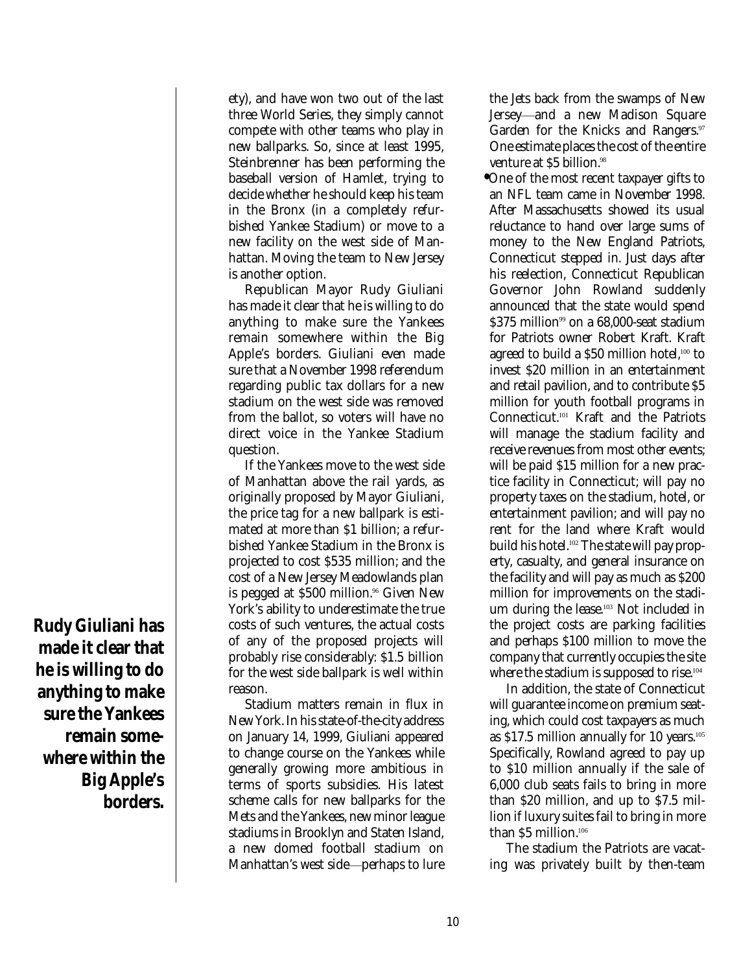ety), and have won two out of the last three World Series, they simply cannot compete with other teams who play in new ballparks. So, since at least 1995, Steinbrenner has been performing the baseball version of Hamlet, trying to decide whether he should keep his team in the Bronx (in a completely refurbished Yankee Stadium) or move to a new facility on the west side of Manhattan. Moving the team to New Jersey is another option.

Republican Mayor Rudy Giuliani has made it clear that he is willing to do anything to make sure the Yankees remain somewhere within the Big Apple's borders. Giuliani even made sure that a November 1998 referendum regarding public tax dollars for a new stadium on the west side was removed from the ballot, so voters will have no direct voice in the Yankee Stadium question.

If the Yankees move to the west side of Manhattan above the rail yards, as originally proposed by Mayor Giuliani, the price tag for a new ballpark is estimated at more than \$1 billion; a refurbished Yankee Stadium in the Bronx is projected to cost \$535 million; and the cost of a New Jersey Meadowlands plan is pegged at \$500 million. <sup>96</sup> Given New York's ability to underestimate the true costs of such ventures, the actual costs of any of the proposed projects will probably rise considerably: \$1.5 billion for the west side ballpark is well within reason.

Stadium matters remain in flux in New York. In his state-of-the-city address on January 14, 1999, Giuliani appeared to change course on the Yankees while generally growing more ambitious in terms of sports subsidies. His latest scheme calls for new ballparks for the Mets and the Yankees, new minor league stadiums in Brooklyn and Staten Island, a new domed football stadium on Manhattan's west side—perhaps to lure

the Jets back from the swamps of New Jersey—and a new Madison Square Garden for the Knicks and Rangers.<sup>97</sup> One estimate places the cost of the entire venture at \$5 billion. 98

**•** One of the most recent taxpayer gifts to an NFL team came in November 1998. After Massachusetts showed its usual reluctance to hand over large sums of money to the New England Patriots, Connecticut stepped in. Just days after his reelection, Connecticut Republican Governor John Rowland suddenly announced that the state would spend \$375 million <sup>99</sup> on a 68,000-seat stadium for Patriots owner Robert Kraft. Kraft agreed to build a \$50 million hotel,100 to invest \$20 million in an entertainment and retail pavilion, and to contribute \$5 million for youth football programs in Connecticut. <sup>101</sup> Kraft and the Patriots will manage the stadium facility and receive revenues from most other events; will be paid \$15 million for a new practice facility in Connecticut; will pay no property taxes on the stadium, hotel, or entertainment pavilion; and will pay no rent for the land where Kraft would build his hotel. <sup>102</sup> The state will pay property, casualty, and general insurance on the facility and will pay as much as \$200 million for improvements on the stadium during the lease. <sup>103</sup> Not included in the project costs are parking facilities and perhaps \$100 million to move the company that currently occupies the site where the stadium is supposed to rise. $^{\scriptscriptstyle 104}$ 

In addition, the state of Connecticut will guarantee income on premium seating, which could cost taxpayers as much as \$17.5 million annually for 10 years. $^{\scriptscriptstyle 105}$ Specifically, Rowland agreed to pay up to \$10 million annually if the sale of 6,000 club seats fails to bring in more than \$20 million, and up to \$7.5 million if luxury suites fail to bring in more than \$5 million. 106

The stadium the Patriots are vacating was privately built by then-team

**Rudy Giuliani has made it clear that he is willing to do anything to make sure the Yankees remain somewhere within the Big Apple's borders.**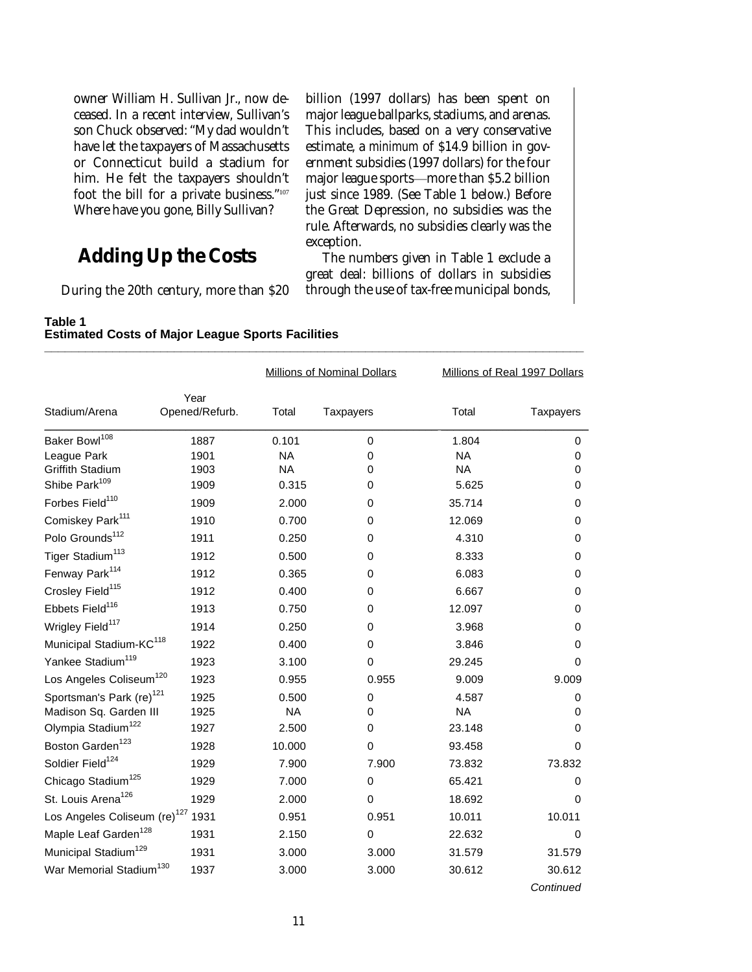owner William H. Sullivan Jr., now deceased. In a recent interview, Sullivan's son Chuck observed: "My dad wouldn't have let the taxpayers of Massachusetts or Connecticut build a stadium for him. He felt the taxpayers shouldn't foot the bill for a private business."<sup>107</sup> Where have you gone, Billy Sullivan?

## **Adding Up the Costs**

During the 20th century, more than \$20

billion (1997 dollars) has been spent on major league ballparks, stadiums, and arenas. This includes, based on a very conservative estimate, a *minimum* of \$14.9 billion in government subsidies (1997 dollars) for the four major league sports—more than \$5.2 billion just since 1989. (See Table 1 below.) Before the Great Depression, no subsidies was the rule. Afterwards, no subsidies clearly was the exception.

The numbers given in Table 1 exclude a great deal: billions of dollars in subsidies through the use of tax-free municipal bonds,

#### **Table 1 Estimated Costs of Major League Sports Facilities \_\_\_\_\_\_\_\_\_\_\_\_\_\_\_\_\_\_\_\_\_\_\_\_\_\_\_\_\_\_\_\_\_\_\_\_\_\_\_\_\_\_\_\_\_\_\_\_\_\_\_\_\_\_\_\_\_\_\_\_\_\_\_\_\_\_\_\_\_\_\_\_\_\_\_\_\_\_\_**

|                                          |                        | <b>Millions of Nominal Dollars</b> |                  |           | Millions of Real 1997 Dollars |  |
|------------------------------------------|------------------------|------------------------------------|------------------|-----------|-------------------------------|--|
| Stadium/Arena                            | Year<br>Opened/Refurb. | Total                              | <b>Taxpayers</b> | Total     | Taxpayers                     |  |
| Baker Bowl <sup>108</sup>                | 1887                   | 0.101                              | 0                | 1.804     | 0                             |  |
| League Park                              | 1901                   | <b>NA</b>                          | 0                | <b>NA</b> | 0                             |  |
| Griffith Stadium                         | 1903                   | <b>NA</b>                          | 0                | <b>NA</b> | 0                             |  |
| Shibe Park <sup>109</sup>                | 1909                   | 0.315                              | 0                | 5.625     | 0                             |  |
| Forbes Field <sup>110</sup>              | 1909                   | 2.000                              | 0                | 35.714    | 0                             |  |
| Comiskey Park <sup>111</sup>             | 1910                   | 0.700                              | 0                | 12.069    | 0                             |  |
| Polo Grounds <sup>112</sup>              | 1911                   | 0.250                              | 0                | 4.310     | $\mathbf 0$                   |  |
| Tiger Stadium <sup>113</sup>             | 1912                   | 0.500                              | 0                | 8.333     | 0                             |  |
| Fenway Park <sup>114</sup>               | 1912                   | 0.365                              | 0                | 6.083     | $\mathbf 0$                   |  |
| Crosley Field <sup>115</sup>             | 1912                   | 0.400                              | 0                | 6.667     | 0                             |  |
| Ebbets Field <sup>116</sup>              | 1913                   | 0.750                              | 0                | 12.097    | 0                             |  |
| Wrigley Field <sup>117</sup>             | 1914                   | 0.250                              | 0                | 3.968     | 0                             |  |
| Municipal Stadium-KC <sup>118</sup>      | 1922                   | 0.400                              | 0                | 3.846     | 0                             |  |
| Yankee Stadium <sup>119</sup>            | 1923                   | 3.100                              | $\mathbf 0$      | 29.245    | 0                             |  |
| Los Angeles Coliseum <sup>120</sup>      | 1923                   | 0.955                              | 0.955            | 9.009     | 9.009                         |  |
| Sportsman's Park (re) <sup>121</sup>     | 1925                   | 0.500                              | 0                | 4.587     | 0                             |  |
| Madison Sq. Garden III                   | 1925                   | <b>NA</b>                          | 0                | <b>NA</b> | 0                             |  |
| Olympia Stadium <sup>122</sup>           | 1927                   | 2.500                              | 0                | 23.148    | 0                             |  |
| Boston Garden <sup>123</sup>             | 1928                   | 10.000                             | 0                | 93.458    | 0                             |  |
| Soldier Field <sup>124</sup>             | 1929                   | 7.900                              | 7.900            | 73.832    | 73.832                        |  |
| Chicago Stadium <sup>125</sup>           | 1929                   | 7.000                              | 0                | 65.421    | 0                             |  |
| St. Louis Arena <sup>126</sup>           | 1929                   | 2.000                              | $\mathbf 0$      | 18.692    | 0                             |  |
| Los Angeles Coliseum (re) <sup>127</sup> | 1931                   | 0.951                              | 0.951            | 10.011    | 10.011                        |  |
| Maple Leaf Garden <sup>128</sup>         | 1931                   | 2.150                              | 0                | 22.632    | 0                             |  |
| Municipal Stadium <sup>129</sup>         | 1931                   | 3.000                              | 3.000            | 31.579    | 31.579                        |  |
| War Memorial Stadium <sup>130</sup>      | 1937                   | 3.000                              | 3.000            | 30.612    | 30.612                        |  |
|                                          |                        |                                    |                  |           | Continued                     |  |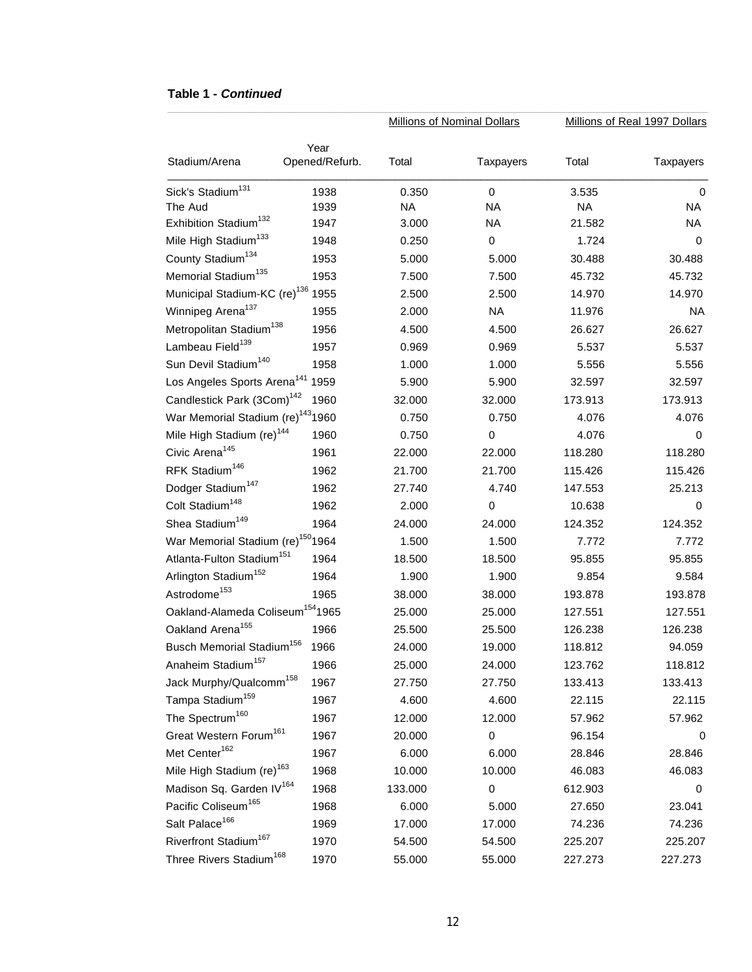#### **Table 1 -** *Continued*

|                                               |                        |           | <b>Millions of Nominal Dollars</b> | Millions of Real 1997 Dollars |                  |
|-----------------------------------------------|------------------------|-----------|------------------------------------|-------------------------------|------------------|
| Stadium/Arena                                 | Year<br>Opened/Refurb. | Total     | Taxpayers                          | Total                         | <b>Taxpayers</b> |
| Sick's Stadium <sup>131</sup>                 | 1938                   | 0.350     | 0                                  | 3.535                         | 0                |
| The Aud                                       | 1939                   | <b>NA</b> | <b>NA</b>                          | <b>NA</b>                     | NA               |
| Exhibition Stadium <sup>132</sup>             | 1947                   | 3.000     | <b>NA</b>                          | 21.582                        | NA               |
| Mile High Stadium <sup>133</sup>              | 1948                   | 0.250     | $\pmb{0}$                          | 1.724                         | 0                |
| County Stadium <sup>134</sup>                 | 1953                   | 5.000     | 5.000                              | 30.488                        | 30.488           |
| Memorial Stadium <sup>135</sup>               | 1953                   | 7.500     | 7.500                              | 45.732                        | 45.732           |
| Municipal Stadium-KC (re) <sup>136</sup>      | 1955                   | 2.500     | 2.500                              | 14.970                        | 14.970           |
| Winnipeg Arena <sup>137</sup>                 | 1955                   | 2.000     | <b>NA</b>                          | 11.976                        | <b>NA</b>        |
| Metropolitan Stadium <sup>138</sup>           | 1956                   | 4.500     | 4.500                              | 26.627                        | 26.627           |
| Lambeau Field <sup>139</sup>                  | 1957                   | 0.969     | 0.969                              | 5.537                         | 5.537            |
| Sun Devil Stadium <sup>140</sup>              | 1958                   | 1.000     | 1.000                              | 5.556                         | 5.556            |
| Los Angeles Sports Arena <sup>141</sup>       | 1959                   | 5.900     | 5.900                              | 32.597                        | 32.597           |
| Candlestick Park (3Com) <sup>142</sup>        | 1960                   | 32.000    | 32.000                             | 173.913                       | 173.913          |
| War Memorial Stadium (re) <sup>143</sup> 1960 |                        | 0.750     | 0.750                              | 4.076                         | 4.076            |
| Mile High Stadium (re) <sup>144</sup>         | 1960                   | 0.750     | 0                                  | 4.076                         | 0                |
| Civic Arena <sup>145</sup>                    | 1961                   | 22.000    | 22.000                             | 118.280                       | 118.280          |
| RFK Stadium <sup>146</sup>                    | 1962                   | 21.700    | 21.700                             | 115.426                       | 115.426          |
| Dodger Stadium <sup>147</sup>                 | 1962                   | 27.740    | 4.740                              | 147.553                       | 25.213           |
| Colt Stadium <sup>148</sup>                   | 1962                   | 2.000     | $\boldsymbol{0}$                   | 10.638                        | 0                |
| Shea Stadium <sup>149</sup>                   | 1964                   | 24.000    | 24.000                             | 124.352                       | 124.352          |
| War Memorial Stadium (re) <sup>150</sup> 1964 |                        | 1.500     | 1.500                              | 7.772                         | 7.772            |
| Atlanta-Fulton Stadium <sup>151</sup>         | 1964                   | 18.500    | 18.500                             | 95.855                        | 95.855           |
| Arlington Stadium <sup>152</sup>              | 1964                   | 1.900     | 1.900                              | 9.854                         | 9.584            |
| Astrodome <sup>153</sup>                      | 1965                   | 38.000    | 38.000                             | 193.878                       | 193.878          |
| Oakland-Alameda Coliseum <sup>154</sup> 1965  |                        | 25.000    | 25.000                             | 127.551                       | 127.551          |
| Oakland Arena <sup>155</sup>                  | 1966                   | 25.500    | 25.500                             | 126.238                       | 126.238          |
| Busch Memorial Stadium <sup>156</sup>         | 1966                   | 24.000    | 19.000                             | 118.812                       | 94.059           |
| Anaheim Stadium <sup>157</sup>                | 1966                   | 25.000    | 24.000                             | 123.762                       | 118.812          |
| Jack Murphy/Qualcomm <sup>158</sup>           | 1967                   | 27.750    | 27.750                             | 133.413                       | 133.413          |
| Tampa Stadium <sup>159</sup>                  | 1967                   | 4.600     | 4.600                              | 22.115                        | 22.115           |
| The Spectrum <sup>160</sup>                   | 1967                   | 12.000    | 12.000                             | 57.962                        | 57.962           |
| Great Western Forum <sup>161</sup>            | 1967                   | 20.000    | 0                                  | 96.154                        | 0                |
| Met Center <sup>162</sup>                     | 1967                   | 6.000     | 6.000                              | 28.846                        | 28.846           |
| Mile High Stadium (re) <sup>163</sup>         | 1968                   | 10.000    | 10.000                             | 46.083                        | 46.083           |
| Madison Sq. Garden IV <sup>164</sup>          | 1968                   | 133.000   | 0                                  | 612.903                       | 0                |
| Pacific Coliseum <sup>165</sup>               | 1968                   | 6.000     | 5.000                              | 27.650                        | 23.041           |
| Salt Palace <sup>166</sup>                    | 1969                   | 17.000    | 17.000                             | 74.236                        | 74.236           |
| Riverfront Stadium <sup>167</sup>             | 1970                   | 54.500    | 54.500                             | 225.207                       | 225.207          |
| Three Rivers Stadium <sup>168</sup>           | 1970                   | 55.000    | 55.000                             | 227.273                       | 227.273          |

*\_\_\_\_\_\_\_\_\_\_\_\_\_\_\_\_\_\_\_\_\_\_\_\_\_\_\_\_\_\_\_\_\_\_\_\_\_\_\_\_\_\_\_\_\_\_\_\_\_\_\_\_\_\_\_\_\_\_\_\_\_\_\_\_\_\_\_\_\_\_\_\_\_\_\_\_\_\_\_\_\_\_\_\_\_\_\_\_\_\_\_\_\_\_\_\_\_\_\_\_\_\_\_\_\_\_\_\_\_\_\_\_\_\_\_\_\_\_\_\_\_\_\_\_\_\_\_\_\_\_\_\_\_\_\_\_\_\_\_\_\_\_\_\_\_\_\_\_\_\_\_\_\_\_\_\_\_\_\_\_\_\_\_\_\_\_\_\_\_\_\_\_\_\_\_\_\_\_\_\_\_\_\_\_\_\_\_\_\_\_\_\_\_\_\_\_\_\_*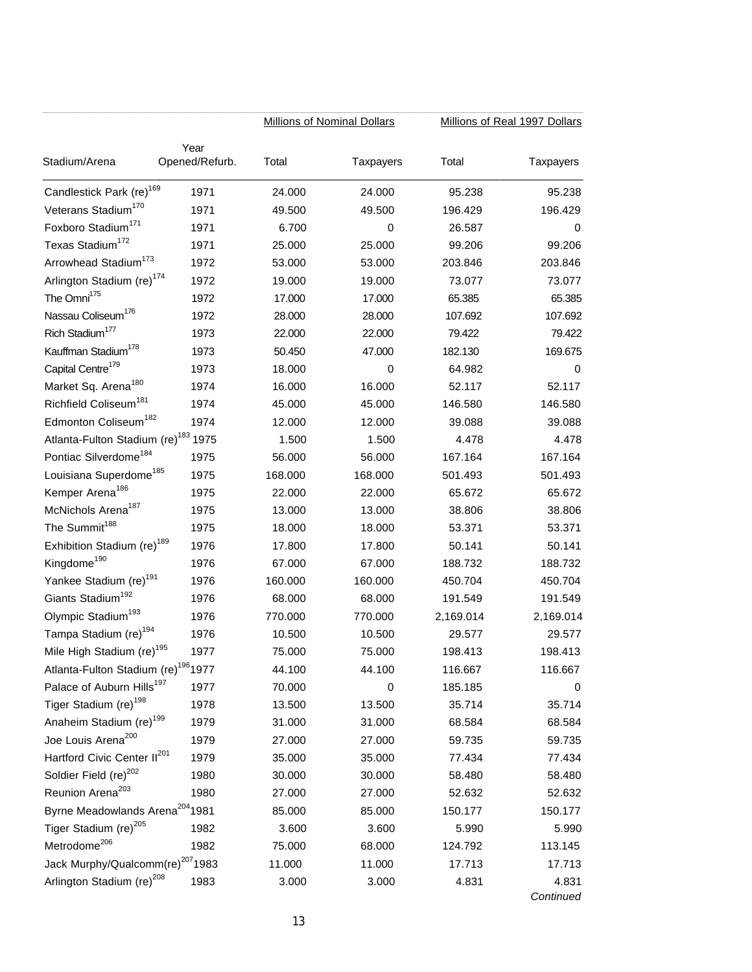|                                                 |                | <b>Millions of Nominal Dollars</b> |                  | Millions of Real 1997 Dollars |                  |
|-------------------------------------------------|----------------|------------------------------------|------------------|-------------------------------|------------------|
|                                                 | Year           |                                    |                  |                               |                  |
| Stadium/Arena                                   | Opened/Refurb. | Total                              | <b>Taxpayers</b> | Total                         | <b>Taxpayers</b> |
| Candlestick Park (re) <sup>169</sup>            | 1971           | 24.000                             | 24.000           | 95.238                        | 95.238           |
| Veterans Stadium <sup>170</sup>                 | 1971           | 49.500                             | 49.500           | 196.429                       | 196.429          |
| Foxboro Stadium <sup>171</sup>                  | 1971           | 6.700                              | 0                | 26.587                        | 0                |
| Texas Stadium <sup>172</sup>                    | 1971           | 25.000                             | 25.000           | 99.206                        | 99.206           |
| Arrowhead Stadium <sup>173</sup>                | 1972           | 53.000                             | 53.000           | 203.846                       | 203.846          |
| Arlington Stadium (re) <sup>174</sup>           | 1972           | 19.000                             | 19.000           | 73.077                        | 73.077           |
| The Omni <sup>175</sup>                         | 1972           | 17.000                             | 17.000           | 65.385                        | 65.385           |
| Nassau Coliseum <sup>176</sup>                  | 1972           | 28.000                             | 28.000           | 107.692                       | 107.692          |
| Rich Stadium <sup>177</sup>                     | 1973           | 22.000                             | 22.000           | 79.422                        | 79.422           |
| Kauffman Stadium <sup>178</sup>                 | 1973           | 50.450                             | 47.000           | 182.130                       | 169.675          |
| Capital Centre <sup>179</sup>                   | 1973           | 18.000                             | 0                | 64.982                        | 0                |
| Market Sq. Arena <sup>180</sup>                 | 1974           | 16.000                             | 16.000           | 52.117                        | 52.117           |
| Richfield Coliseum <sup>181</sup>               | 1974           | 45.000                             | 45.000           | 146.580                       | 146.580          |
| Edmonton Coliseum <sup>182</sup>                | 1974           | 12.000                             | 12.000           | 39.088                        | 39.088           |
| Atlanta-Fulton Stadium (re) <sup>183</sup> 1975 |                | 1.500                              | 1.500            | 4.478                         | 4.478            |
| Pontiac Silverdome <sup>184</sup>               | 1975           | 56.000                             | 56.000           | 167.164                       | 167.164          |
| Louisiana Superdome <sup>185</sup>              | 1975           | 168.000                            | 168.000          | 501.493                       | 501.493          |
| Kemper Arena <sup>186</sup>                     | 1975           | 22.000                             | 22.000           | 65.672                        | 65.672           |
| McNichols Arena <sup>187</sup>                  | 1975           | 13.000                             | 13.000           | 38.806                        | 38.806           |
| The Summit <sup>188</sup>                       | 1975           | 18.000                             | 18.000           | 53.371                        | 53.371           |
| Exhibition Stadium (re) <sup>189</sup>          | 1976           | 17.800                             | 17.800           | 50.141                        | 50.141           |
| Kingdome <sup>190</sup>                         | 1976           | 67.000                             | 67.000           | 188.732                       | 188.732          |
| Yankee Stadium (re) <sup>191</sup>              | 1976           | 160.000                            | 160.000          | 450.704                       | 450.704          |
| Giants Stadium <sup>192</sup>                   | 1976           | 68.000                             | 68.000           | 191.549                       | 191.549          |
| Olympic Stadium <sup>193</sup>                  | 1976           | 770.000                            | 770.000          | 2,169.014                     | 2,169.014        |
| Tampa Stadium (re) <sup>194</sup>               | 1976           | 10.500                             | 10.500           | 29.577                        | 29.577           |
| Mile High Stadium (re) <sup>195</sup>           | 1977           | 75.000                             | 75.000           | 198.413                       | 198.413          |
| Atlanta-Fulton Stadium (re) <sup>196</sup> 1977 |                | 44.100                             | 44.100           | 116.667                       | 116.667          |
| Palace of Auburn Hills <sup>197</sup>           | 1977           | 70.000                             | 0                | 185.185                       | 0                |
| Tiger Stadium (re) <sup>198</sup>               | 1978           | 13.500                             | 13.500           | 35.714                        | 35.714           |
| Anaheim Stadium (re) <sup>199</sup>             | 1979           | 31.000                             | 31.000           | 68.584                        | 68.584           |
| Joe Louis Arena <sup>200</sup>                  | 1979           | 27.000                             | 27.000           | 59.735                        | 59.735           |
| Hartford Civic Center II <sup>201</sup>         | 1979           | 35.000                             | 35.000           | 77.434                        | 77.434           |
| Soldier Field (re) <sup>202</sup>               | 1980           | 30.000                             | 30.000           | 58.480                        | 58.480           |
| Reunion Arena <sup>203</sup>                    | 1980           | 27.000                             | 27.000           | 52.632                        | 52.632           |
| Byrne Meadowlands Arena <sup>204</sup> 1981     |                | 85.000                             | 85.000           | 150.177                       | 150.177          |
| Tiger Stadium (re) <sup>205</sup>               | 1982           | 3.600                              | 3.600            | 5.990                         | 5.990            |
| Metrodome <sup>206</sup>                        | 1982           | 75.000                             | 68.000           | 124.792                       | 113.145          |
| Jack Murphy/Qualcomm(re) <sup>207</sup> 1983    |                | 11.000                             | 11.000           | 17.713                        | 17.713           |
| Arlington Stadium (re) <sup>208</sup>           | 1983           | 3.000                              | 3.000            | 4.831                         | 4.831            |
|                                                 |                |                                    |                  |                               | Continued        |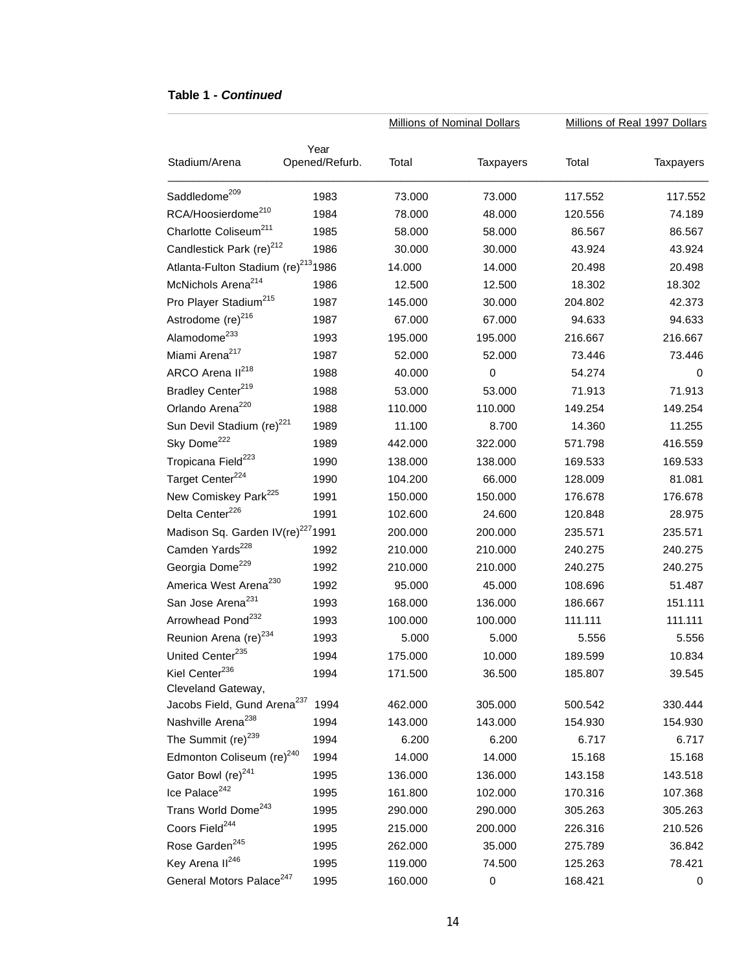#### **Table 1 -** *Continued*

|                                                 |                        |         | <b>Millions of Nominal Dollars</b> |         | Millions of Real 1997 Dollars |
|-------------------------------------------------|------------------------|---------|------------------------------------|---------|-------------------------------|
| Stadium/Arena                                   | Year<br>Opened/Refurb. | Total   | <b>Taxpayers</b>                   | Total   | <b>Taxpayers</b>              |
| Saddledome <sup>209</sup>                       | 1983                   | 73.000  | 73.000                             | 117.552 | 117.552                       |
| RCA/Hoosierdome <sup>210</sup>                  | 1984                   | 78.000  | 48.000                             | 120.556 | 74.189                        |
| Charlotte Coliseum <sup>211</sup>               | 1985                   | 58.000  | 58.000                             | 86.567  | 86.567                        |
| Candlestick Park (re) <sup>212</sup>            | 1986                   | 30.000  | 30.000                             | 43.924  | 43.924                        |
| Atlanta-Fulton Stadium (re) <sup>213</sup> 1986 |                        | 14.000  | 14.000                             | 20.498  | 20.498                        |
| McNichols Arena <sup>214</sup>                  | 1986                   | 12.500  | 12.500                             | 18.302  | 18.302                        |
| Pro Player Stadium <sup>215</sup>               | 1987                   | 145.000 | 30.000                             | 204.802 | 42.373                        |
| Astrodome (re) <sup>216</sup>                   | 1987                   | 67.000  | 67.000                             | 94.633  | 94.633                        |
| Alamodome <sup>233</sup>                        | 1993                   | 195.000 | 195.000                            | 216.667 | 216.667                       |
| Miami Arena <sup>217</sup>                      | 1987                   | 52.000  | 52.000                             | 73.446  | 73.446                        |
| ARCO Arena II <sup>218</sup>                    | 1988                   | 40.000  | $\boldsymbol{0}$                   | 54.274  | 0                             |
| Bradley Center <sup>219</sup>                   | 1988                   | 53.000  | 53.000                             | 71.913  | 71.913                        |
| Orlando Arena <sup>220</sup>                    | 1988                   | 110.000 | 110.000                            | 149.254 | 149.254                       |
| Sun Devil Stadium (re) <sup>221</sup>           | 1989                   | 11.100  | 8.700                              | 14.360  | 11.255                        |
| Sky Dome <sup>222</sup>                         | 1989                   | 442.000 | 322.000                            | 571.798 | 416.559                       |
| Tropicana Field <sup>223</sup>                  | 1990                   | 138.000 | 138.000                            | 169.533 | 169.533                       |
| Target Center <sup>224</sup>                    | 1990                   | 104.200 | 66.000                             | 128.009 | 81.081                        |
| New Comiskey Park <sup>225</sup>                | 1991                   | 150.000 | 150.000                            | 176.678 | 176.678                       |
| Delta Center <sup>226</sup>                     | 1991                   | 102.600 | 24.600                             | 120.848 | 28.975                        |
| Madison Sq. Garden IV(re) <sup>227</sup> 1991   |                        | 200.000 | 200.000                            | 235.571 | 235.571                       |
| Camden Yards <sup>228</sup>                     | 1992                   | 210.000 | 210.000                            | 240.275 | 240.275                       |
| Georgia Dome <sup>229</sup>                     | 1992                   | 210.000 | 210.000                            | 240.275 | 240.275                       |
| America West Arena <sup>230</sup>               | 1992                   | 95.000  | 45.000                             | 108.696 | 51.487                        |
| San Jose Arena <sup>231</sup>                   | 1993                   | 168.000 | 136.000                            | 186.667 | 151.111                       |
| Arrowhead Pond <sup>232</sup>                   | 1993                   | 100.000 | 100.000                            | 111.111 | 111.111                       |
| Reunion Arena (re) <sup>234</sup>               | 1993                   | 5.000   | 5.000                              | 5.556   | 5.556                         |
| United Center <sup>235</sup>                    | 1994                   | 175.000 | 10.000                             | 189.599 | 10.834                        |
| Kiel Center <sup>236</sup>                      | 1994                   | 171.500 | 36.500                             | 185.807 | 39.545                        |
| Cleveland Gateway,                              |                        |         |                                    |         |                               |
| Jacobs Field, Gund Arena <sup>237</sup>         | 1994                   | 462.000 | 305.000                            | 500.542 | 330.444                       |
| Nashville Arena <sup>238</sup>                  | 1994                   | 143.000 | 143.000                            | 154.930 | 154.930                       |
| The Summit $(re)^{239}$                         | 1994                   | 6.200   | 6.200                              | 6.717   | 6.717                         |
| Edmonton Coliseum (re) <sup>240</sup>           | 1994                   | 14.000  | 14.000                             | 15.168  | 15.168                        |
| Gator Bowl (re) <sup>241</sup>                  | 1995                   | 136.000 | 136.000                            | 143.158 | 143.518                       |
| Ice Palace <sup>242</sup>                       | 1995                   | 161.800 | 102.000                            | 170.316 | 107.368                       |
| Trans World Dome <sup>243</sup>                 | 1995                   | 290.000 | 290.000                            | 305.263 | 305.263                       |
| Coors Field <sup>244</sup>                      | 1995                   | 215.000 | 200.000                            | 226.316 | 210.526                       |
| Rose Garden <sup>245</sup>                      | 1995                   | 262.000 | 35.000                             | 275.789 | 36.842                        |
| Key Arena II <sup>246</sup>                     | 1995                   | 119.000 | 74.500                             | 125.263 | 78.421                        |
| General Motors Palace <sup>247</sup>            | 1995                   | 160.000 | $\pmb{0}$                          | 168.421 | 0                             |

*\_\_\_\_\_\_\_\_\_\_\_\_\_\_\_\_\_\_\_\_\_\_\_\_\_\_\_\_\_\_\_\_\_\_\_\_\_\_\_\_\_\_\_\_\_\_\_\_\_\_\_\_\_\_\_\_\_\_\_\_\_\_\_\_\_\_\_\_\_\_\_\_\_\_\_\_\_\_\_\_\_\_\_\_\_\_\_\_\_\_\_\_\_\_\_\_\_\_\_\_\_\_\_\_\_\_\_\_\_\_\_\_\_\_\_\_\_\_\_\_\_\_\_\_\_\_\_\_\_\_\_\_\_\_\_\_\_\_\_\_\_\_\_\_\_\_\_\_\_\_\_\_\_\_\_\_\_\_\_\_\_\_\_\_\_\_\_\_\_\_\_\_\_\_\_\_\_\_\_\_\_\_\_\_\_\_\_\_\_\_\_\_\_\_\_\_\_\_*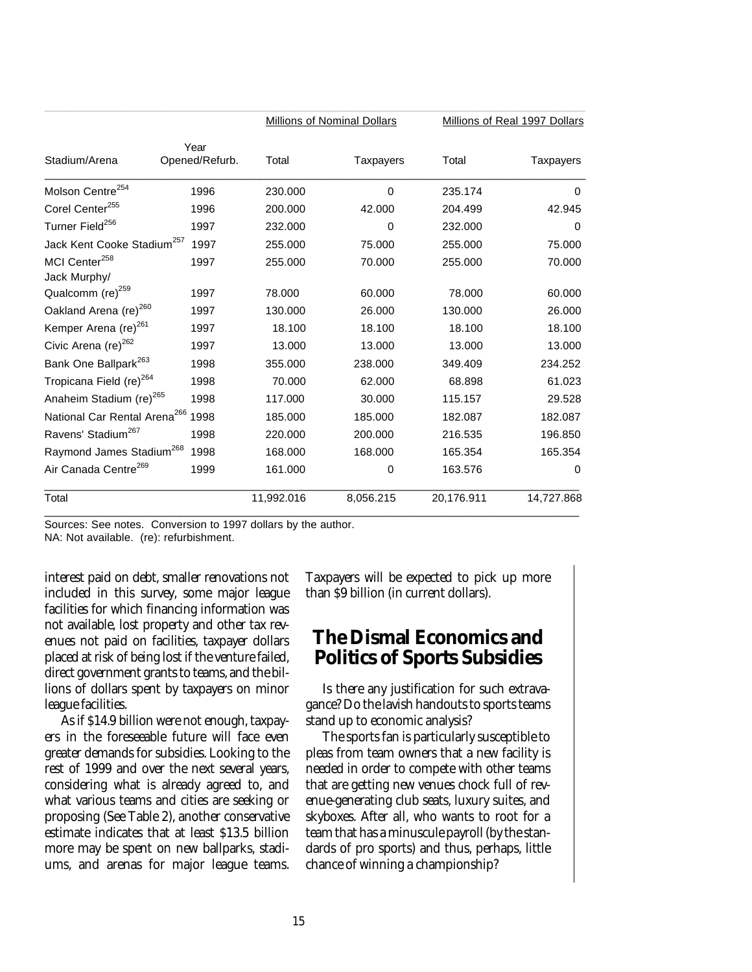|                                               |                        |            | <b>Millions of Nominal Dollars</b> | Millions of Real 1997 Dollars |                  |
|-----------------------------------------------|------------------------|------------|------------------------------------|-------------------------------|------------------|
| Stadium/Arena                                 | Year<br>Opened/Refurb. | Total      | <b>Taxpayers</b>                   | Total                         | <b>Taxpayers</b> |
| Molson Centre <sup>254</sup>                  | 1996                   | 230,000    | 0                                  | 235.174                       | 0                |
| Corel Center <sup>255</sup>                   | 1996                   | 200.000    | 42.000                             | 204.499                       | 42.945           |
| Turner Field <sup>256</sup>                   | 1997                   | 232.000    | 0                                  | 232.000                       | 0                |
| Jack Kent Cooke Stadium <sup>257</sup>        | 1997                   | 255.000    | 75.000                             | 255.000                       | 75,000           |
| MCI Center <sup>258</sup><br>Jack Murphy/     | 1997                   | 255.000    | 70.000                             | 255.000                       | 70.000           |
| Qualcomm (re) <sup>259</sup>                  | 1997                   | 78.000     | 60.000                             | 78,000                        | 60,000           |
| Oakland Arena (re) <sup>260</sup>             | 1997                   | 130.000    | 26.000                             | 130.000                       | 26,000           |
| Kemper Arena (re) <sup>261</sup>              | 1997                   | 18.100     | 18.100                             | 18.100                        | 18.100           |
| Civic Arena (re) <sup>262</sup>               | 1997                   | 13.000     | 13.000                             | 13.000                        | 13.000           |
| Bank One Ballpark <sup>263</sup>              | 1998                   | 355.000    | 238.000                            | 349.409                       | 234.252          |
| Tropicana Field (re) <sup>264</sup>           | 1998                   | 70.000     | 62.000                             | 68.898                        | 61.023           |
| Anaheim Stadium (re) <sup>265</sup>           | 1998                   | 117.000    | 30.000                             | 115.157                       | 29.528           |
| National Car Rental Arena <sup>266</sup> 1998 |                        | 185.000    | 185.000                            | 182.087                       | 182.087          |
| Ravens' Stadium <sup>267</sup>                | 1998                   | 220.000    | 200.000                            | 216.535                       | 196.850          |
| Raymond James Stadium <sup>268</sup>          | 1998                   | 168,000    | 168.000                            | 165.354                       | 165.354          |
| Air Canada Centre <sup>269</sup>              | 1999                   | 161.000    | 0                                  | 163.576                       | 0                |
| Total                                         |                        | 11,992.016 | 8,056.215                          | 20,176.911                    | 14,727.868       |

Sources: See notes. Conversion to 1997 dollars by the author.

NA: Not available. (re): refurbishment.

interest paid on debt, smaller renovations not included in this survey, some major league facilities for which financing information was not available, lost property and other tax revenues not paid on facilities, taxpayer dollars placed at risk of being lost if the venture failed, direct government grants to teams, and the billions of dollars spent by taxpayers on minor league facilities.

As if \$14.9 billion were not enough, taxpayers in the foreseeable future will face even greater demands for subsidies. Looking to the rest of 1999 and over the next several years, considering what is already agreed to, and what various teams and cities are seeking or proposing (See Table 2), another conservative estimate indicates that at least \$13.5 billion more may be spent on new ballparks, stadiums, and arenas for major league teams.

Taxpayers will be expected to pick up more than \$9 billion (in current dollars).

## **The Dismal Economics and Politics of Sports Subsidies**

Is there any justification for such extravagance? Do the lavish handouts to sports teams stand up to economic analysis?

The sports fan is particularly susceptible to pleas from team owners that a new facility is needed in order to compete with other teams that are getting new venues chock full of revenue-generating club seats, luxury suites, and skyboxes. After all, who wants to root for a team that has a minuscule payroll (by the standards of pro sports) and thus, perhaps, little chance of winning a championship?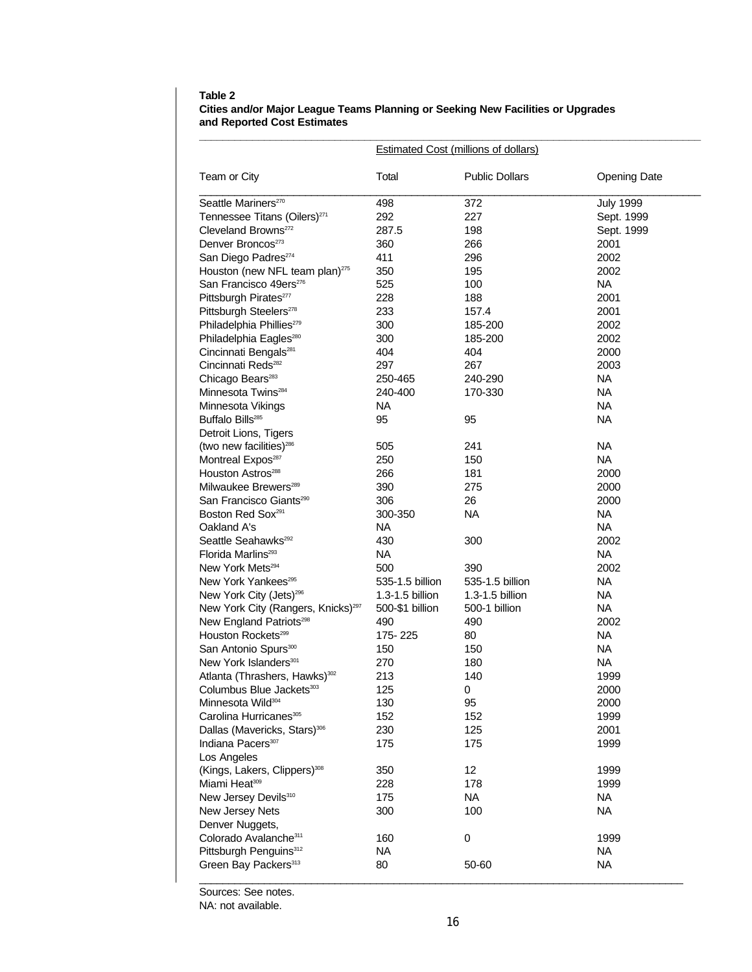#### **Table 2 Cities and/or Major League Teams Planning or Seeking New Facilities or Upgrades and Reported Cost Estimates**

|                                                                       |                        | <b>Estimated Cost (millions of dollars)</b> |                     |
|-----------------------------------------------------------------------|------------------------|---------------------------------------------|---------------------|
| Team or City                                                          | Total                  | <b>Public Dollars</b>                       | <b>Opening Date</b> |
| Seattle Mariners <sup>270</sup>                                       | 498                    | 372                                         | <b>July 1999</b>    |
| Tennessee Titans (Oilers) <sup>271</sup>                              | 292                    | 227                                         | Sept. 1999          |
| Cleveland Browns <sup>272</sup>                                       | 287.5                  | 198                                         | Sept. 1999          |
| Denver Broncos <sup>273</sup>                                         | 360                    | 266                                         | 2001                |
| San Diego Padres <sup>274</sup>                                       | 411                    | 296                                         | 2002                |
| Houston (new NFL team plan) $275$                                     | 350                    | 195                                         | 2002                |
| San Francisco 49ers <sup>276</sup>                                    | 525                    | 100                                         | NA.                 |
| Pittsburgh Pirates <sup>277</sup>                                     | 228                    | 188                                         | 2001                |
| Pittsburgh Steelers <sup>278</sup>                                    | 233                    | 157.4                                       | 2001                |
| Philadelphia Phillies <sup>279</sup>                                  | 300                    | 185-200                                     | 2002                |
| Philadelphia Eagles <sup>280</sup>                                    | 300                    | 185-200                                     | 2002                |
| Cincinnati Bengals <sup>281</sup>                                     | 404                    | 404                                         | 2000                |
| Cincinnati Reds <sup>282</sup>                                        | 297                    | 267                                         | 2003                |
| Chicago Bears <sup>283</sup>                                          | 250-465                | 240-290                                     | NA.                 |
| Minnesota Twins <sup>284</sup>                                        | 240-400                | 170-330                                     | NA                  |
| Minnesota Vikings                                                     | NA                     |                                             | NA                  |
| Buffalo Bills <sup>285</sup>                                          | 95                     | 95                                          | <b>NA</b>           |
| Detroit Lions, Tigers                                                 |                        |                                             |                     |
| (two new facilities) <sup>286</sup>                                   | 505                    | 241                                         | <b>NA</b>           |
| Montreal Expos <sup>287</sup>                                         | 250                    | 150                                         | NA.                 |
| Houston Astros <sup>288</sup>                                         | 266                    | 181                                         | 2000                |
| Milwaukee Brewers <sup>289</sup>                                      | 390                    | 275                                         | 2000                |
| San Francisco Giants <sup>290</sup>                                   | 306                    | 26                                          | 2000                |
| Boston Red Sox <sup>291</sup>                                         | 300-350                | <b>NA</b>                                   | NA                  |
| Oakland A's                                                           | NA.                    |                                             | NA.                 |
| Seattle Seahawks <sup>292</sup>                                       | 430                    | 300                                         | 2002                |
| Florida Marlins <sup>293</sup>                                        | NA.                    |                                             | NA                  |
| New York Mets <sup>294</sup>                                          | 500                    | 390                                         | 2002                |
| New York Yankees <sup>295</sup>                                       | 535-1.5 billion        | 535-1.5 billion                             | NA                  |
| New York City (Jets) <sup>296</sup>                                   | 1.3-1.5 billion        | 1.3-1.5 billion                             | NA.                 |
|                                                                       |                        | 500-1 billion                               | NA.                 |
| New York City (Rangers, Knicks) <sup>297</sup>                        | 500-\$1 billion<br>490 |                                             | 2002                |
| New England Patriots <sup>298</sup><br>Houston Rockets <sup>299</sup> |                        | 490                                         | NA                  |
|                                                                       | 175-225                | 80                                          |                     |
| San Antonio Spurs <sup>300</sup>                                      | 150                    | 150                                         | NA                  |
| New York Islanders <sup>301</sup>                                     | 270                    | 180                                         | <b>NA</b>           |
| Atlanta (Thrashers, Hawks) <sup>302</sup>                             | 213                    | 140                                         | 1999                |
| Columbus Blue Jackets <sup>303</sup>                                  | 125                    | 0                                           | 2000                |
| Minnesota Wild <sup>304</sup>                                         | 130                    | 95                                          | 2000                |
| Carolina Hurricanes <sup>305</sup>                                    | 152                    | 152                                         | 1999                |
| Dallas (Mavericks, Stars) <sup>306</sup>                              | 230                    | 125                                         | 2001                |
| Indiana Pacers <sup>307</sup>                                         | 175                    | 175                                         | 1999                |
| Los Angeles                                                           |                        |                                             |                     |
| (Kings, Lakers, Clippers) <sup>308</sup>                              | 350                    | $12 \overline{ }$                           | 1999                |
| Miami Heat <sup>309</sup>                                             | 228                    | 178                                         | 1999                |
| New Jersey Devils <sup>310</sup>                                      | 175                    | NA                                          | NA.                 |
| New Jersey Nets                                                       | 300                    | 100                                         | <b>NA</b>           |
| Denver Nuggets,                                                       |                        |                                             |                     |
| Colorado Avalanche <sup>311</sup>                                     | 160                    | 0                                           | 1999                |
| Pittsburgh Penguins <sup>312</sup>                                    | NA.                    |                                             | NA.                 |
| Green Bay Packers <sup>313</sup>                                      | 80                     | 50-60                                       | NA.                 |

Sources: See notes.

NA: not available.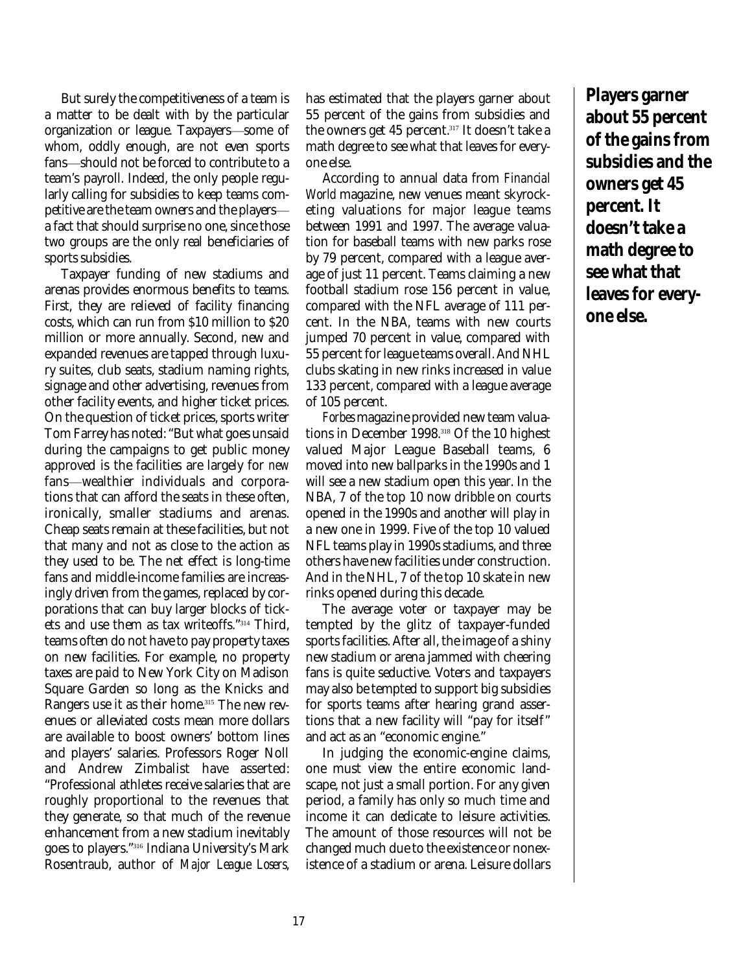But surely the competitiveness of a team is a matter to be dealt with by the particular organization or league. Taxpayers-some of whom, oddly enough, are not even sports fans-should not be forced to contribute to a team's payroll. Indeed, the only people regularly calling for subsidies to keep teams competitive are the team owners and the players a fact that should surprise no one, since those two groups are the only real beneficiaries of sports subsidies.

Taxpayer funding of new stadiums and arenas provides enormous benefits to teams. First, they are relieved of facility financing costs, which can run from \$10 million to \$20 million or more annually. Second, new and expanded revenues are tapped through luxury suites, club seats, stadium naming rights, signage and other advertising, revenues from other facility events, and higher ticket prices. On the question of ticket prices, sports writer Tom Farrey has noted: "But what goes unsaid during the campaigns to get public money approved is the facilities are largely for *new* fans—wealthier individuals and corporations that can afford the seats in these often, ironically, smaller stadiums and arenas. Cheap seats remain at these facilities, but not that many and not as close to the action as they used to be. The net effect is long-time fans and middle-income families are increasingly driven from the games, replaced by corporations that can buy larger blocks of tickets and use them as tax writeoffs." <sup>314</sup> Third, teams often do not have to pay property taxes on new facilities. For example, no property taxes are paid to New York City on Madison Square Garden so long as the Knicks and Rangers use it as their home. <sup>315</sup> The new revenues or alleviated costs mean more dollars are available to boost owners' bottom lines and players' salaries. Professors Roger Noll and Andrew Zimbalist have asserted: "Professional athletes receive salaries that are roughly proportional to the revenues that they generate, so that much of the revenue enhancement from a new stadium inevitably goes to players." 316 Indiana University's Mark Rosentraub, author of *Major League Losers*,

has estimated that the players garner about 55 percent of the gains from subsidies and the owners get 45 percent. 317 It doesn't take a math degree to see what that leaves for everyone else.

According to annual data from *Financial World* magazine, new venues meant skyrocketing valuations for major league teams between 1991 and 1997. The average valuation for baseball teams with new parks rose by 79 percent, compared with a league average of just 11 percent. Teams claiming a new football stadium rose 156 percent in value, compared with the NFL average of 111 percent. In the NBA, teams with new courts jumped 70 percent in value, compared with 55 percent for league teams overall. And NHL clubs skating in new rinks increased in value 133 percent, compared with a league average of 105 percent.

*Forbes* magazine provided new team valuations in December 1998. <sup>318</sup> Of the 10 highest valued Major League Baseball teams, 6 moved into new ballparks in the 1990s and 1 will see a new stadium open this year. In the NBA, 7 of the top 10 now dribble on courts opened in the 1990s and another will play in a new one in 1999. Five of the top 10 valued NFL teams play in 1990s stadiums, and three others have new facilities under construction. And in the NHL, 7 of the top 10 skate in new rinks opened during this decade.

The average voter or taxpayer may be tempted by the glitz of taxpayer-funded sports facilities. After all, the image of a shiny new stadium or arena jammed with cheering fans is quite seductive. Voters and taxpayers may also be tempted to support big subsidies for sports teams after hearing grand assertions that a new facility will "pay for itself" and act as an "economic engine."

In judging the economic-engine claims, one must view the entire economic landscape, not just a small portion. For any given period, a family has only so much time and income it can dedicate to leisure activities. The amount of those resources will not be changed much due to the existence or nonexistence of a stadium or arena. Leisure dollars

**Players garner about 55 percent of the gains from subsidies and the owners get 45 percent. It doesn't take a math degree to see what that leaves for everyone else.**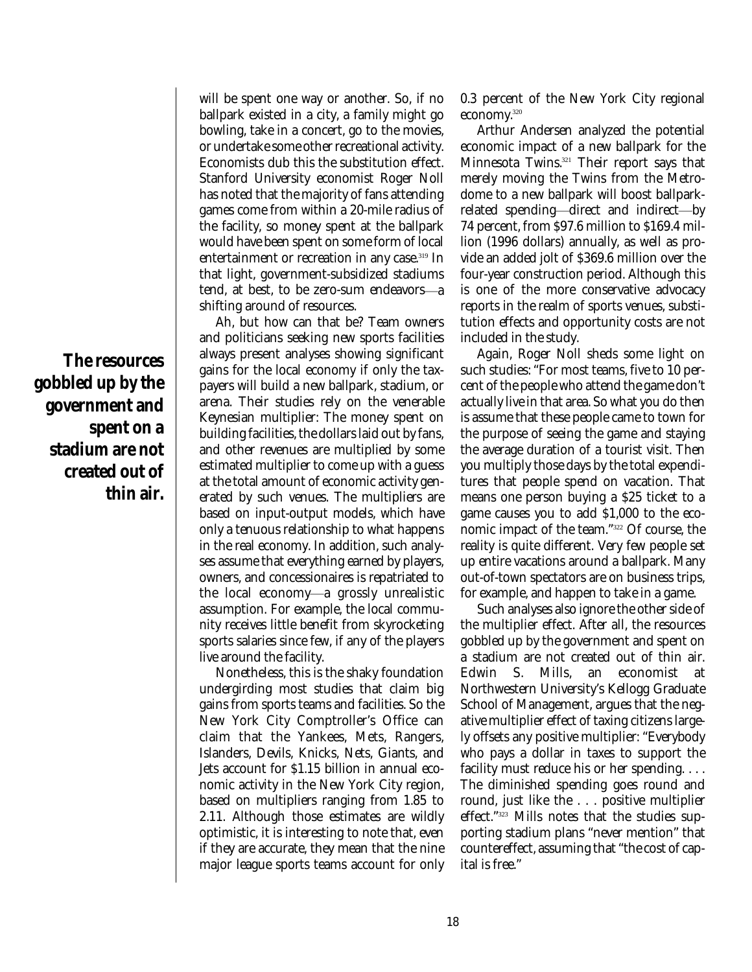**The resources gobbled up by the government and spent on a stadium are not created out of thin air.** will be spent one way or another. So, if no ballpark existed in a city, a family might go bowling, take in a concert, go to the movies, or undertake some other recreational activity. Economists dub this the substitution effect. Stanford University economist Roger Noll has noted that the majority of fans attending games come from within a 20-mile radius of the facility, so money spent at the ballpark would have been spent on some form of local entertainment or recreation in any case.<sup>319</sup> In that light, government-subsidized stadiums tend, at best, to be zero-sum endeavors-a shifting around of resources.

Ah, but how can that be? Team owners and politicians seeking new sports facilities always present analyses showing significant gains for the local economy if only the taxpayers will build a new ballpark, stadium, or arena. Their studies rely on the venerable Keynesian multiplier: The money spent on building facilities, the dollars laid out by fans, and other revenues are multiplied by some estimated multiplier to come up with a guess at the total amount of economic activity generated by such venues. The multipliers are based on input-output models, which have only a tenuous relationship to what happens in the real economy. In addition, such analyses assume that everything earned by players, owners, and concessionaires is repatriated to the local economy—a grossly unrealistic assumption. For example, the local community receives little benefit from skyrocketing sports salaries since few, if any of the players live around the facility.

Nonetheless, this is the shaky foundation undergirding most studies that claim big gains from sports teams and facilities. So the New York City Comptroller's Office can claim that the Yankees, Mets, Rangers, Islanders, Devils, Knicks, Nets, Giants, and Jets account for \$1.15 billion in annual economic activity in the New York City region, based on multipliers ranging from 1.85 to 2.11. Although those estimates are wildly optimistic, it is interesting to note that, even if they are accurate, they mean that the nine major league sports teams account for only 0.3 percent of the New York City regional economy. 320

Arthur Andersen analyzed the potential economic impact of a new ballpark for the Minnesota Twins. <sup>321</sup> Their report says that merely moving the Twins from the Metrodome to a new ballpark will boost ballparkrelated spending—direct and indirect—by 74 percent, from \$97.6 million to \$169.4 million (1996 dollars) annually, as well as provide an added jolt of \$369.6 million over the four-year construction period. Although this is one of the more conservative advocacy reports in the realm of sports venues, substitution effects and opportunity costs are not included in the study.

Again, Roger Noll sheds some light on such studies: "For most teams, five to 10 percent of the people who attend the game don't actually live in that area. So what you do then is assume that these people came to town for the purpose of seeing the game and staying the average duration of a tourist visit. Then you multiply those days by the total expenditures that people spend on vacation. That means one person buying a \$25 ticket to a game causes you to add \$1,000 to the economic impact of the team." <sup>322</sup> Of course, the reality is quite different. Very few people set up entire vacations around a ballpark. Many out-of-town spectators are on business trips, for example, and happen to take in a game.

Such analyses also ignore the other side of the multiplier effect. After all, the resources gobbled up by the government and spent on a stadium are not created out of thin air. Edwin S. Mills, an economist at Northwestern University's Kellogg Graduate School of Management, argues that the negative multiplier effect of taxing citizens largely offsets any positive multiplier: "Everybody who pays a dollar in taxes to support the facility must reduce his or her spending. . . . The diminished spending goes round and round, just like the . . . positive multiplier effect." <sup>323</sup> Mills notes that the studies supporting stadium plans "never mention" that countereffect, assuming that "the cost of capital is free."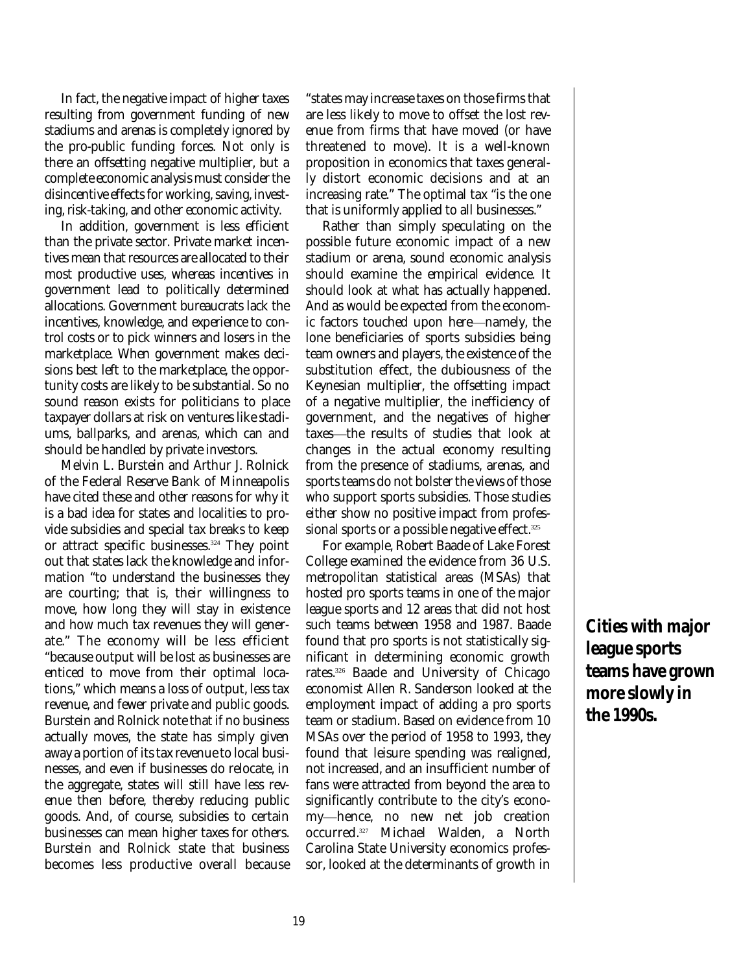In fact, the negative impact of higher taxes resulting from government funding of new stadiums and arenas is completely ignored by the pro-public funding forces. Not only is there an offsetting negative multiplier, but a complete economic analysis must consider the disincentive effects for working, saving, investing, risk-taking, and other economic activity.

In addition, government is less efficient than the private sector. Private market incentives mean that resources are allocated to their most productive uses, whereas incentives in government lead to politically determined allocations. Government bureaucrats lack the incentives, knowledge, and experience to control costs or to pick winners and losers in the marketplace. When government makes decisions best left to the marketplace, the opportunity costs are likely to be substantial. So no sound reason exists for politicians to place taxpayer dollars at risk on ventures like stadiums, ballparks, and arenas, which can and should be handled by private investors.

Melvin L. Burstein and Arthur J. Rolnick of the Federal Reserve Bank of Minneapolis have cited these and other reasons for why it is a bad idea for states and localities to provide subsidies and special tax breaks to keep or attract specific businesses. <sup>324</sup> They point out that states lack the knowledge and information "to understand the businesses they are courting; that is, their willingness to move, how long they will stay in existence and how much tax revenues they will generate." The economy will be less efficient "because output will be lost as businesses are enticed to move from their optimal locations," which means a loss of output, less tax revenue, and fewer private and public goods. Burstein and Rolnick note that if no business actually moves, the state has simply given away a portion of its tax revenue to local businesses, and even if businesses do relocate, in the aggregate, states will still have less revenue then before, thereby reducing public goods. And, of course, subsidies to certain businesses can mean higher taxes for others. Burstein and Rolnick state that business becomes less productive overall because "states may increase taxes on those firms that are less likely to move to offset the lost revenue from firms that have moved (or have threatened to move). It is a well-known proposition in economics that taxes generally distort economic decisions and at an increasing rate." The optimal tax "is the one that is uniformly applied to all businesses."

Rather than simply speculating on the possible future economic impact of a new stadium or arena, sound economic analysis should examine the empirical evidence. It should look at what has actually happened. And as would be expected from the economic factors touched upon here—namely, the lone beneficiaries of sports subsidies being team owners and players, the existence of the substitution effect, the dubiousness of the Keynesian multiplier, the offsetting impact of a negative multiplier, the inefficiency of government, and the negatives of higher taxes—the results of studies that look at changes in the actual economy resulting from the presence of stadiums, arenas, and sports teams do not bolster the views of those who support sports subsidies. Those studies either show no positive impact from professional sports or a possible negative effect. 325

For example, Robert Baade of Lake Forest College examined the evidence from 36 U.S. metropolitan statistical areas (MSAs) that hosted pro sports teams in one of the major league sports and 12 areas that did not host such teams between 1958 and 1987. Baade found that pro sports is not statistically significant in determining economic growth rates. <sup>326</sup> Baade and University of Chicago economist Allen R. Sanderson looked at the employment impact of adding a pro sports team or stadium. Based on evidence from 10 MSAs over the period of 1958 to 1993, they found that leisure spending was realigned, not increased, and an insufficient number of fans were attracted from beyond the area to significantly contribute to the city's economy—hence, no new net job creation occurred. <sup>327</sup> Michael Walden, a North Carolina State University economics professor, looked at the determinants of growth in

**Cities with major league sports teams have grown more slowly in the 1990s.**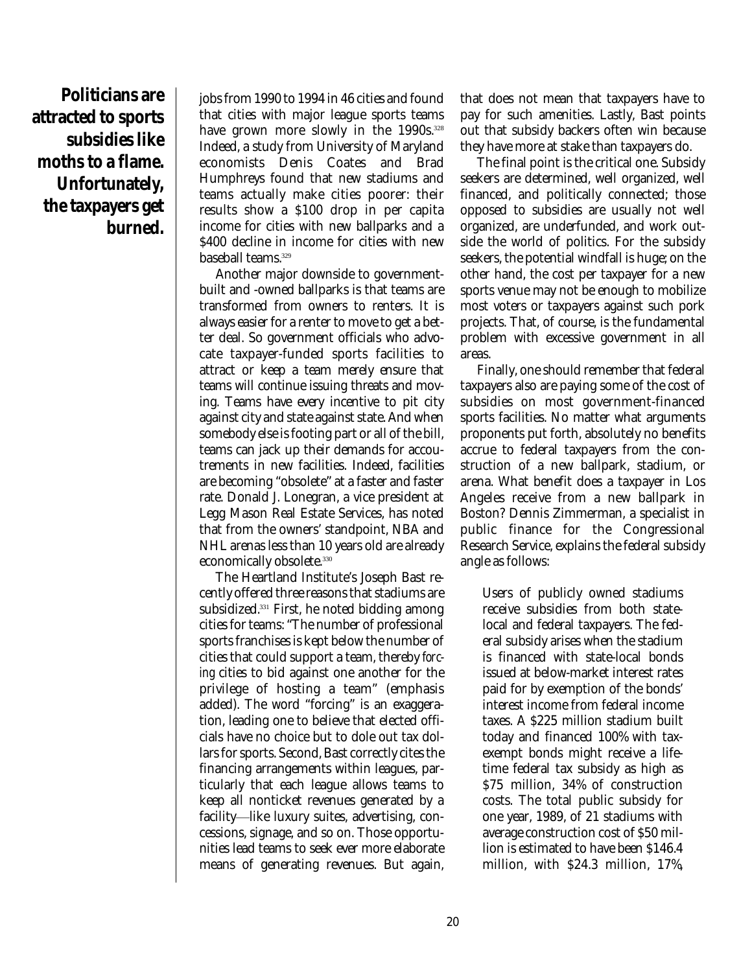**Politicians are attracted to sports subsidies like moths to a flame. Unfortunately, the taxpayers get burned.**

jobs from 1990 to 1994 in 46 cities and found that cities with major league sports teams have grown more slowly in the 1990s. 328 Indeed, a study from University of Maryland economists Denis Coates and Brad Humphreys found that new stadiums and teams actually make cities poorer: their results show a \$100 drop in per capita income for cities with new ballparks and a \$400 decline in income for cities with new baseball teams. 329

Another major downside to governmentbuilt and -owned ballparks is that teams are transformed from owners to renters. It is always easier for a renter to move to get a better deal. So government officials who advocate taxpayer-funded sports facilities to attract or keep a team merely ensure that teams will continue issuing threats and moving. Teams have every incentive to pit city against city and state against state. And when somebody else is footing part or all of the bill, teams can jack up their demands for accoutrements in new facilities. Indeed, facilities are becoming "obsolete" at a faster and faster rate. Donald J. Lonegran, a vice president at Legg Mason Real Estate Services, has noted that from the owners' standpoint, NBA and NHL arenas less than 10 years old are already economically obsolete. 330

The Heartland Institute's Joseph Bast recently offered three reasons that stadiums are subsidized. <sup>331</sup> First, he noted bidding among cities for teams: "The number of professional sports franchises is kept below the number of cities that could support a team, thereby *forcing* cities to bid against one another for the privilege of hosting a team" (emphasis added). The word "forcing" is an exaggeration, leading one to believe that elected officials have no choice but to dole out tax dollars for sports. Second, Bast correctly cites the financing arrangements within leagues, particularly that each league allows teams to keep all nonticket revenues generated by a facility-like luxury suites, advertising, concessions, signage, and so on. Those opportunities lead teams to seek ever more elaborate means of generating revenues. But again, that does not mean that taxpayers have to pay for such amenities. Lastly, Bast points out that subsidy backers often win because they have more at stake than taxpayers do.

The final point is the critical one. Subsidy seekers are determined, well organized, well financed, and politically connected; those opposed to subsidies are usually not well organized, are underfunded, and work outside the world of politics. For the subsidy seekers, the potential windfall is huge; on the other hand, the cost per taxpayer for a new sports venue may not be enough to mobilize most voters or taxpayers against such pork projects. That, of course, is the fundamental problem with excessive government in all areas.

Finally, one should remember that federal taxpayers also are paying some of the cost of subsidies on most government-financed sports facilities. No matter what arguments proponents put forth, absolutely no benefits accrue to federal taxpayers from the construction of a new ballpark, stadium, or arena. What benefit does a taxpayer in Los Angeles receive from a new ballpark in Boston? Dennis Zimmerman, a specialist in public finance for the Congressional Research Service, explains the federal subsidy angle as follows:

Users of publicly owned stadiums receive subsidies from both statelocal and federal taxpayers. The federal subsidy arises when the stadium is financed with state-local bonds issued at below-market interest rates paid for by exemption of the bonds' interest income from federal income taxes. A \$225 million stadium built today and financed 100% with taxexempt bonds might receive a lifetime federal tax subsidy as high as \$75 million, 34% of construction costs. The total public subsidy for one year, 1989, of 21 stadiums with average construction cost of \$50 million is estimated to have been \$146.4 million, with \$24.3 million, 17%,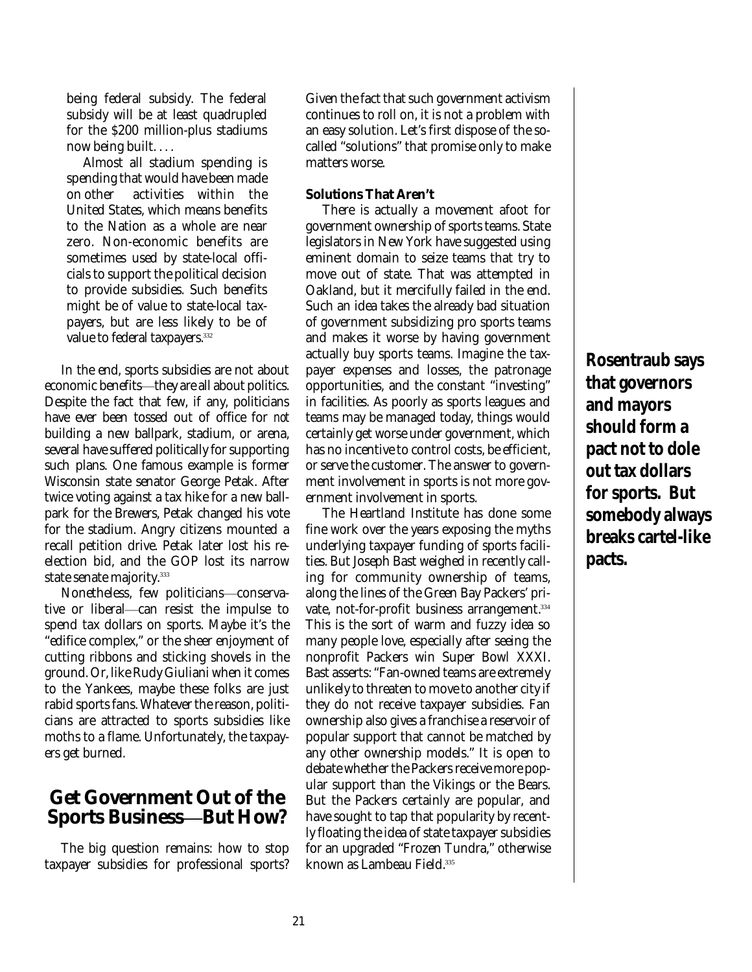being federal subsidy. The federal subsidy will be at least quadrupled for the \$200 million-plus stadiums now being built. . . .

Almost all stadium spending is spending that would have been made on other activities within the United States, which means benefits to the Nation as a whole are near zero. Non-economic benefits are sometimes used by state-local officials to support the political decision to provide subsidies. Such benefits might be of value to state-local taxpayers, but are less likely to be of value to federal taxpayers. 332

In the end, sports subsidies are not about economic benefits—they are all about politics. Despite the fact that few, if any, politicians have ever been tossed out of office for *not* building a new ballpark, stadium, or arena, several have suffered politically for supporting such plans. One famous example is former Wisconsin state senator George Petak. After twice voting against a tax hike for a new ballpark for the Brewers, Petak changed his vote for the stadium. Angry citizens mounted a recall petition drive. Petak later lost his reelection bid, and the GOP lost its narrow state senate majority. 333

Nonetheless, few politicians—conservative or liberal—can resist the impulse to spend tax dollars on sports. Maybe it's the "edifice complex," or the sheer enjoyment of cutting ribbons and sticking shovels in the ground. Or, like Rudy Giuliani when it comes to the Yankees, maybe these folks are just rabid sports fans. Whatever the reason, politicians are attracted to sports subsidies like moths to a flame. Unfortunately, the taxpayers get burned.

## **Get Government Out of the Sports Business—But How?**

The big question remains: how to stop taxpayer subsidies for professional sports? Given the fact that such government activism continues to roll on, it is not a problem with an easy solution. Let's first dispose of the socalled "solutions" that promise only to make matters worse.

#### **Solutions That Aren't**

There is actually a movement afoot for government ownership of sports teams. State legislators in New York have suggested using eminent domain to seize teams that try to move out of state. That was attempted in Oakland, but it mercifully failed in the end. Such an idea takes the already bad situation of government subsidizing pro sports teams and makes it worse by having government actually buy sports teams. Imagine the taxpayer expenses and losses, the patronage opportunities, and the constant "investing" in facilities. As poorly as sports leagues and teams may be managed today, things would certainly get worse under government, which has no incentive to control costs, be efficient, or serve the customer. The answer to government involvement in sports is not more government involvement in sports.

The Heartland Institute has done some fine work over the years exposing the myths underlying taxpayer funding of sports facilities. But Joseph Bast weighed in recently calling for community ownership of teams, along the lines of the Green Bay Packers' private, not-for-profit business arrangement. 334 This is the sort of warm and fuzzy idea so many people love, especially after seeing the nonprofit Packers win Super Bowl XXXI. Bast asserts: "Fan-owned teams are extremely unlikely to threaten to move to another city if they do not receive taxpayer subsidies. Fan ownership also gives a franchise a reservoir of popular support that cannot be matched by any other ownership models." It is open to debate whether the Packers receive more popular support than the Vikings or the Bears. But the Packers certainly are popular, and have sought to tap that popularity by recently floating the idea of state taxpayer subsidies for an upgraded "Frozen Tundra," otherwise known as Lambeau Field. 335

**Rosentraub says that governors and mayors should form a pact not to dole out tax dollars for sports. But somebody always breaks cartel-like pacts.**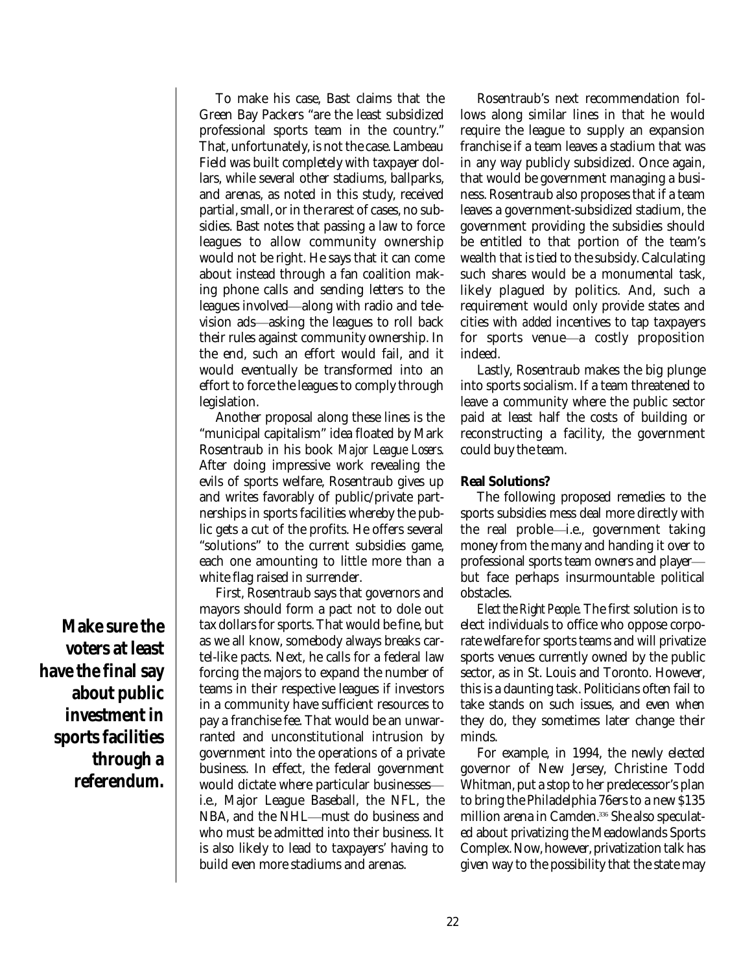To make his case, Bast claims that the Green Bay Packers "are the least subsidized professional sports team in the country." That, unfortunately, is not the case. Lambeau Field was built completely with taxpayer dollars, while several other stadiums, ballparks, and arenas, as noted in this study, received partial, small, or in the rarest of cases, no subsidies. Bast notes that passing a law to force leagues to allow community ownership would not be right. He says that it can come about instead through a fan coalition making phone calls and sending letters to the leagues involved—along with radio and television ads—asking the leagues to roll back their rules against community ownership. In the end, such an effort would fail, and it would eventually be transformed into an effort to force the leagues to comply through legislation.

Another proposal along these lines is the "municipal capitalism" idea floated by Mark Rosentraub in his book *Major League Losers*. After doing impressive work revealing the evils of sports welfare, Rosentraub gives up and writes favorably of public/private partnerships in sports facilities whereby the public gets a cut of the profits. He offers several "solutions" to the current subsidies game, each one amounting to little more than a white flag raised in surrender.

First, Rosentraub says that governors and mayors should form a pact not to dole out tax dollars for sports. That would be fine, but as we all know, somebody always breaks cartel-like pacts. Next, he calls for a federal law forcing the majors to expand the number of teams in their respective leagues if investors in a community have sufficient resources to pay a franchise fee. That would be an unwarranted and unconstitutional intrusion by government into the operations of a private business. In effect, the federal government would dictate where particular businesses i.e., Major League Baseball, the NFL, the NBA, and the NHL—must do business and who must be admitted into their business. It is also likely to lead to taxpayers' having to build even more stadiums and arenas.

Rosentraub's next recommendation follows along similar lines in that he would require the league to supply an expansion franchise if a team leaves a stadium that was in any way publicly subsidized. Once again, that would be government managing a business. Rosentraub also proposes that if a team leaves a government-subsidized stadium, the government providing the subsidies should be entitled to that portion of the team's wealth that is tied to the subsidy. Calculating such shares would be a monumental task, likely plagued by politics. And, such a requirement would only provide states and cities with *added* incentives to tap taxpayers for sports venue—a costly proposition indeed.

Lastly, Rosentraub makes the big plunge into sports socialism. If a team threatened to leave a community where the public sector paid at least half the costs of building or reconstructing a facility, the government could buy the team.

#### **Real Solutions?**

The following proposed remedies to the sports subsidies mess deal more directly with the real proble—i.e., government taking money from the many and handing it over to professional sports team owners and player but face perhaps insurmountable political obstacles.

*Elect the Right People.* The first solution is to elect individuals to office who oppose corporate welfare for sports teams and will privatize sports venues currently owned by the public sector, as in St. Louis and Toronto. However, this is a daunting task. Politicians often fail to take stands on such issues, and even when they do, they sometimes later change their minds.

For example, in 1994, the newly elected governor of New Jersey, Christine Todd Whitman, put a stop to her predecessor's plan to bring the Philadelphia 76ers to a new \$135 million arena in Camden. <sup>336</sup> She also speculated about privatizing the Meadowlands Sports Complex. Now, however, privatization talk has given way to the possibility that the state may

**Make sure the voters at least have the final say about public investment in sports facilities through a referendum.**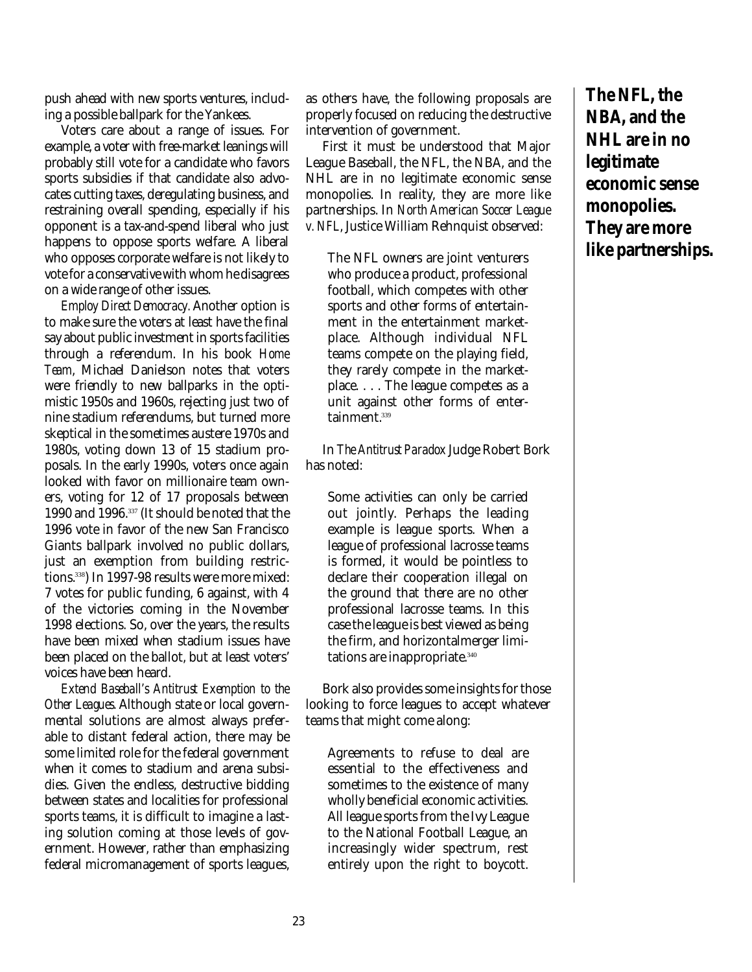push ahead with new sports ventures, including a possible ballpark for the Yankees.

Voters care about a range of issues. For example, a voter with free-market leanings will probably still vote for a candidate who favors sports subsidies if that candidate also advocates cutting taxes, deregulating business, and restraining overall spending, especially if his opponent is a tax-and-spend liberal who just happens to oppose sports welfare. A liberal who opposes corporate welfare is not likely to vote for a conservative with whom he disagrees on a wide range of other issues.

*Employ Direct Democracy.* Another option is to make sure the voters at least have the final say about public investment in sports facilities through a referendum. In his book *Home Team*, Michael Danielson notes that voters were friendly to new ballparks in the optimistic 1950s and 1960s, rejecting just two of nine stadium referendums, but turned more skeptical in the sometimes austere 1970s and 1980s, voting down 13 of 15 stadium proposals. In the early 1990s, voters once again looked with favor on millionaire team owners, voting for 12 of 17 proposals between 1990 and 1996. 337 (It should be noted that the 1996 vote in favor of the new San Francisco Giants ballpark involved no public dollars, just an exemption from building restrictions. 338 ) In 1997-98 results were more mixed: 7 votes for public funding, 6 against, with 4 of the victories coming in the November 1998 elections. So, over the years, the results have been mixed when stadium issues have been placed on the ballot, but at least voters' voices have been heard.

*Extend Baseball's Antitrust Exemption to the Other Leagues.* Although state or local governmental solutions are almost always preferable to distant federal action, there may be some limited role for the federal government when it comes to stadium and arena subsidies. Given the endless, destructive bidding between states and localities for professional sports teams, it is difficult to imagine a lasting solution coming at those levels of government. However, rather than emphasizing federal micromanagement of sports leagues,

as others have, the following proposals are properly focused on reducing the destructive intervention of government.

First it must be understood that Major League Baseball, the NFL, the NBA, and the NHL are in no legitimate economic sense monopolies. In reality, they are more like partnerships. In *North American Soccer League v. NFL*, Justice William Rehnquist observed:

The NFL owners are joint venturers who produce a product, professional football, which competes with other sports and other forms of entertainment in the entertainment marketplace. Although individual NFL teams compete on the playing field, they rarely compete in the marketplace. . . . The league competes as a unit against other forms of entertainment. 339

In *The Antitrust Paradox* Judge Robert Bork has noted:

Some activities can only be carried out jointly. Perhaps the leading example is league sports. When a league of professional lacrosse teams is formed, it would be pointless to declare their cooperation illegal on the ground that there are no other professional lacrosse teams. In this case the league is best viewed as being the firm, and horizontalmerger limitations are inappropriate. 340

Bork also provides some insights for those looking to force leagues to accept whatever teams that might come along:

Agreements to refuse to deal are essential to the effectiveness and sometimes to the existence of many wholly beneficial economic activities. All league sports from the Ivy League to the National Football League, an increasingly wider spectrum, rest entirely upon the right to boycott.

**The NFL, the NBA, and the NHL are in no legitimate economic sense monopolies. They are more like partnerships.**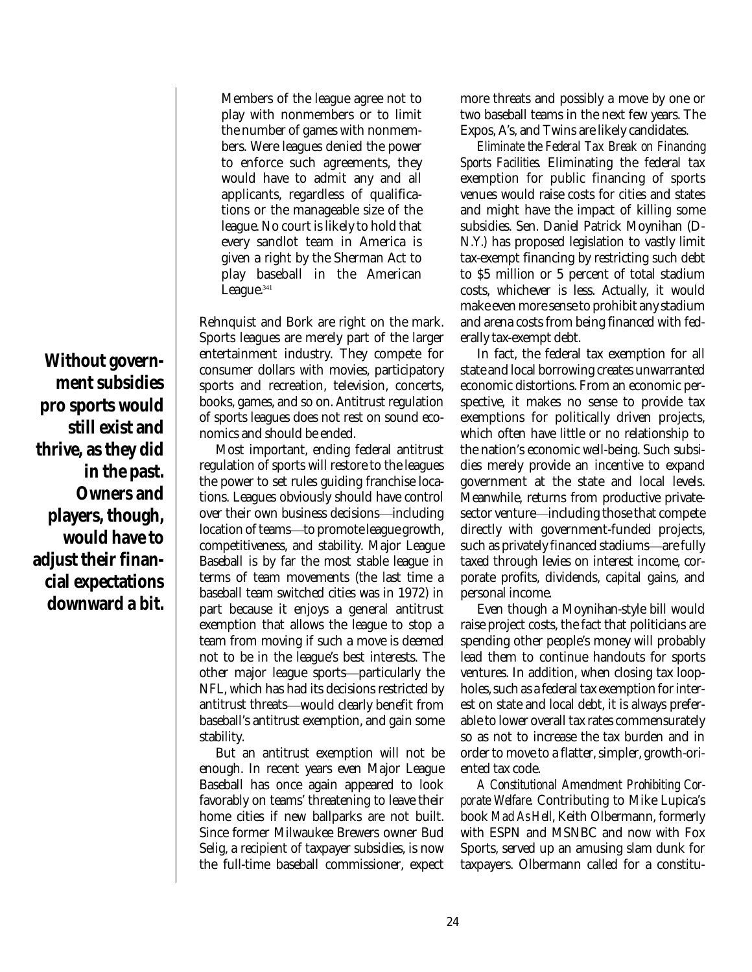Members of the league agree not to play with nonmembers or to limit the number of games with nonmembers. Were leagues denied the power to enforce such agreements, they would have to admit any and all applicants, regardless of qualifications or the manageable size of the league. No court is likely to hold that every sandlot team in America is given a right by the Sherman Act to play baseball in the American League. 341

Rehnquist and Bork are right on the mark. Sports leagues are merely part of the larger entertainment industry. They compete for consumer dollars with movies, participatory sports and recreation, television, concerts, books, games, and so on. Antitrust regulation of sports leagues does not rest on sound economics and should be ended.

Most important, ending federal antitrust regulation of sports will restore to the leagues the power to set rules guiding franchise locations. Leagues obviously should have control over their own business decisions—including location of teams—to promote league growth, competitiveness, and stability. Major League Baseball is by far the most stable league in terms of team movements (the last time a baseball team switched cities was in 1972) in part because it enjoys a general antitrust exemption that allows the league to stop a team from moving if such a move is deemed not to be in the league's best interests. The other major league sports-particularly the NFL, which has had its decisions restricted by antitrust threats—would clearly benefit from baseball's antitrust exemption, and gain some stability.

But an antitrust exemption will not be enough. In recent years even Major League Baseball has once again appeared to look favorably on teams' threatening to leave their home cities if new ballparks are not built. Since former Milwaukee Brewers owner Bud Selig, a recipient of taxpayer subsidies, is now the full-time baseball commissioner, expect more threats and possibly a move by one or two baseball teams in the next few years. The Expos, A's, and Twins are likely candidates.

*Eliminate the Federal Tax Break on Financing Sports Facilities.* Eliminating the federal tax exemption for public financing of sports venues would raise costs for cities and states and might have the impact of killing some subsidies. Sen. Daniel Patrick Moynihan (D-N.Y.) has proposed legislation to vastly limit tax-exempt financing by restricting such debt to \$5 million or 5 percent of total stadium costs, whichever is less. Actually, it would make even more sense to prohibit any stadium and arena costs from being financed with federally tax-exempt debt.

In fact, the federal tax exemption for all state and local borrowing creates unwarranted economic distortions. From an economic perspective, it makes no sense to provide tax exemptions for politically driven projects, which often have little or no relationship to the nation's economic well-being. Such subsidies merely provide an incentive to expand government at the state and local levels. Meanwhile, returns from productive privatesector venture—including those that compete directly with government-funded projects, such as privately financed stadiums-are fully taxed through levies on interest income, corporate profits, dividends, capital gains, and personal income.

Even though a Moynihan-style bill would raise project costs, the fact that politicians are spending other people's money will probably lead them to continue handouts for sports ventures. In addition, when closing tax loopholes, such as a federal tax exemption for interest on state and local debt, it is always preferable to lower overall tax rates commensurately so as not to increase the tax burden and in order to move to a flatter, simpler, growth-oriented tax code.

*A Constitutional Amendment Prohibiting Corporate Welfare.* Contributing to Mike Lupica's book *Mad As Hell*, Keith Olbermann, formerly with ESPN and MSNBC and now with Fox Sports, served up an amusing slam dunk for taxpayers. Olbermann called for a constitu-

**Without government subsidies pro sports would still exist and thrive, as they did in the past. Owners and players, though, would have to adjust their financial expectations downward a bit.**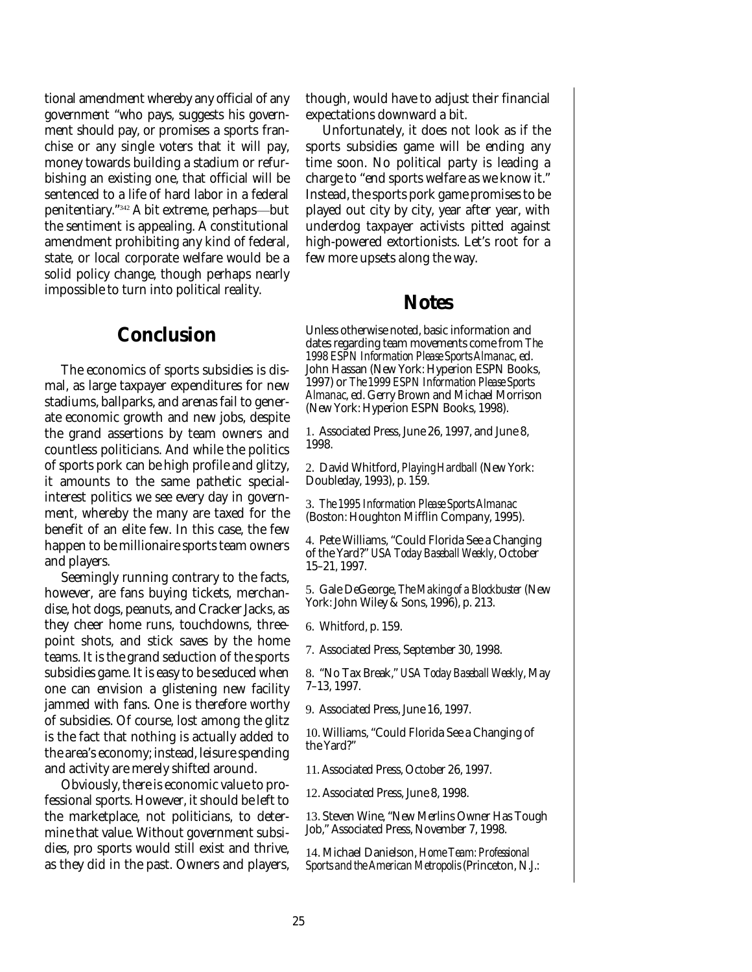tional amendment whereby any official of any government "who pays, suggests his government should pay, or promises a sports franchise or any single voters that it will pay, money towards building a stadium or refurbishing an existing one, that official will be sentenced to a life of hard labor in a federal penitentiary." $^{\scriptscriptstyle 342}$  A bit extreme, perhaps—but the sentiment is appealing. A constitutional amendment prohibiting any kind of federal, state, or local corporate welfare would be a solid policy change, though perhaps nearly impossible to turn into political reality.

### **Conclusion**

The economics of sports subsidies is dismal, as large taxpayer expenditures for new stadiums, ballparks, and arenas fail to generate economic growth and new jobs, despite the grand assertions by team owners and countless politicians. And while the politics of sports pork can be high profile and glitzy, it amounts to the same pathetic specialinterest politics we see every day in government, whereby the many are taxed for the benefit of an elite few. In this case, the few happen to be millionaire sports team owners and players.

Seemingly running contrary to the facts, however, are fans buying tickets, merchandise, hot dogs, peanuts, and Cracker Jacks, as they cheer home runs, touchdowns, threepoint shots, and stick saves by the home teams. It is the grand seduction of the sports subsidies game. It is easy to be seduced when one can envision a glistening new facility jammed with fans. One is therefore worthy of subsidies. Of course, lost among the glitz is the fact that nothing is actually added to the area's economy; instead, leisure spending and activity are merely shifted around.

Obviously, there is economic value to professional sports. However, it should be left to the marketplace, not politicians, to determine that value. Without government subsidies, pro sports would still exist and thrive, as they did in the past. Owners and players,

though, would have to adjust their financial expectations downward a bit.

Unfortunately, it does not look as if the sports subsidies game will be ending any time soon. No political party is leading a charge to "end sports welfare as we know it." Instead, the sports pork game promises to be played out city by city, year after year, with underdog taxpayer activists pitted against high-powered extortionists. Let's root for a few more upsets along the way.

### **Notes**

Unless otherwise noted, basic information and dates regarding team movements come from *The 1998 ESPN Information Please Sports Almanac*, ed. John Hassan (New York: Hyperion ESPN Books, 1997) or *The 1999 ESPN Information Please Sports Almanac*, ed. Gerry Brown and Michael Morrison (New York: Hyperion ESPN Books, 1998).

1. Associated Press, June 26, 1997, and June 8, 1998.

2. David Whitford, *Playing Hardball* (New York: Doubleday, 1993), p. 159.

3. *The 1995 Information Please Sports Almanac* (Boston: Houghton Mifflin Company, 1995).

4. Pete Williams, "Could Florida See a Changing of the Yard?" *USA Today Baseball Weekly*, October 15–21, 1997.

5. Gale DeGeorge, *The Making of a Blockbuster*(New York: John Wiley & Sons, 1996), p. 213.

6. Whitford, p. 159.

7. Associated Press, September 30, 1998.

8. "No Tax Break," *USA Today Baseball Weekly*, May 7–13, 1997.

9. Associated Press, June 16, 1997.

10. Williams, "Could Florida See a Changing of the Yard?"

11. Associated Press, October 26, 1997.

12. Associated Press, June 8, 1998.

13. Steven Wine, "New Merlins Owner Has Tough Job," Associated Press, November 7, 1998.

14. Michael Danielson, *Home Team: Professional Sports and the American Metropolis* (Princeton, N.J.: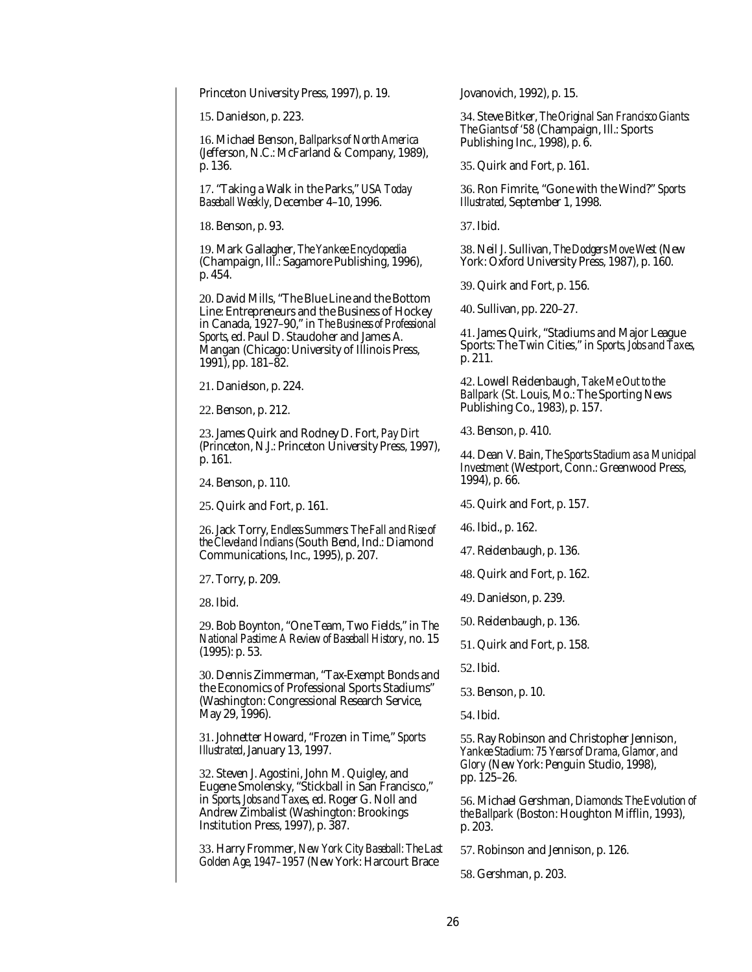Princeton University Press, 1997), p. 19.

15. Danielson, p. 223.

16. Michael Benson, *Ballparks of North America* (Jefferson, N.C.: McFarland & Company, 1989), p. 136.

17. "Taking a Walk in the Parks," *USA Today Baseball Weekly*, December 4–10, 1996.

18. Benson, p. 93.

19. Mark Gallagher, *The Yankee Encyclopedia* (Champaign, Ill.: Sagamore Publishing, 1996), p. 454.

20. David Mills, "The Blue Line and the Bottom Line: Entrepreneurs and the Business of Hockey in Canada, 1927–90," in *The Business of Professional Sports*, ed. Paul D. Staudoher and James A. Mangan (Chicago: University of Illinois Press, 1991), pp. 181–82.

21. Danielson, p. 224.

22. Benson, p. 212.

23. James Quirk and Rodney D. Fort, *Pay Dirt* (Princeton, N.J.: Princeton University Press, 1997), p. 161.

24. Benson, p. 110.

25. Quirk and Fort, p. 161.

26. Jack Torry, *Endless Summers: The Fall and Rise of the Cleveland Indians* (South Bend, Ind.: Diamond Communications, Inc., 1995), p. 207.

27. Torry, p. 209.

28. Ibid.

29. Bob Boynton, "One Team, Two Fields," in *The National Pastime: A Review of Baseball History*, no. 15 (1995): p. 53.

30. Dennis Zimmerman, "Tax-Exempt Bonds and the Economics of Professional Sports Stadiums" (Washington: Congressional Research Service, May 29, 1996).

31. Johnetter Howard, "Frozen in Time," *Sports Illustrated*, January 13, 1997.

32. Steven J. Agostini, John M. Quigley, and Eugene Smolensky, "Stickball in San Francisco," in *Sports, Jobs and Taxes*, ed. Roger G. Noll and Andrew Zimbalist (Washington: Brookings Institution Press, 1997), p. 387.

33. Harry Frommer, *New York City Baseball: The Last Golden Age, 1947–1957* (New York: Harcourt Brace

Jovanovich, 1992), p. 15.

34. Steve Bitker, *The Original San Francisco Giants: The Giants of '58* (Champaign, Ill.: Sports Publishing Inc., 1998), p. 6.

35. Quirk and Fort, p. 161.

36. Ron Fimrite, "Gone with the Wind?" *Sports Illustrated*, September 1, 1998.

37. Ibid.

38. Neil J. Sullivan, *The Dodgers Move West* (New York: Oxford University Press, 1987), p. 160.

39. Quirk and Fort, p. 156.

40. Sullivan, pp. 220–27.

41. James Quirk, "Stadiums and Major League Sports: The Twin Cities," in *Sports, Jobs and Taxes*, p. 211.

42. Lowell Reidenbaugh, *Take Me Out to the Ballpark* (St. Louis, Mo.: The Sporting News Publishing Co., 1983), p. 157.

43. Benson, p. 410.

44. Dean V. Bain, *The Sports Stadium as a Municipal Investment* (Westport, Conn.: Greenwood Press, 1994), p. 66.

45. Quirk and Fort, p. 157.

46. Ibid., p. 162.

47. Reidenbaugh, p. 136.

48. Quirk and Fort, p. 162.

49. Danielson, p. 239.

50. Reidenbaugh, p. 136.

51. Quirk and Fort, p. 158.

52. Ibid.

53. Benson, p. 10.

54. Ibid.

55. Ray Robinson and Christopher Jennison, *Yankee Stadium: 75 Years of Drama, Glamor, and Glory* (New York: Penguin Studio, 1998), pp. 125–26.

56. Michael Gershman, *Diamonds: The Evolution of the Ballpark* (Boston: Houghton Mifflin, 1993), p. 203.

57. Robinson and Jennison, p. 126.

58. Gershman, p. 203.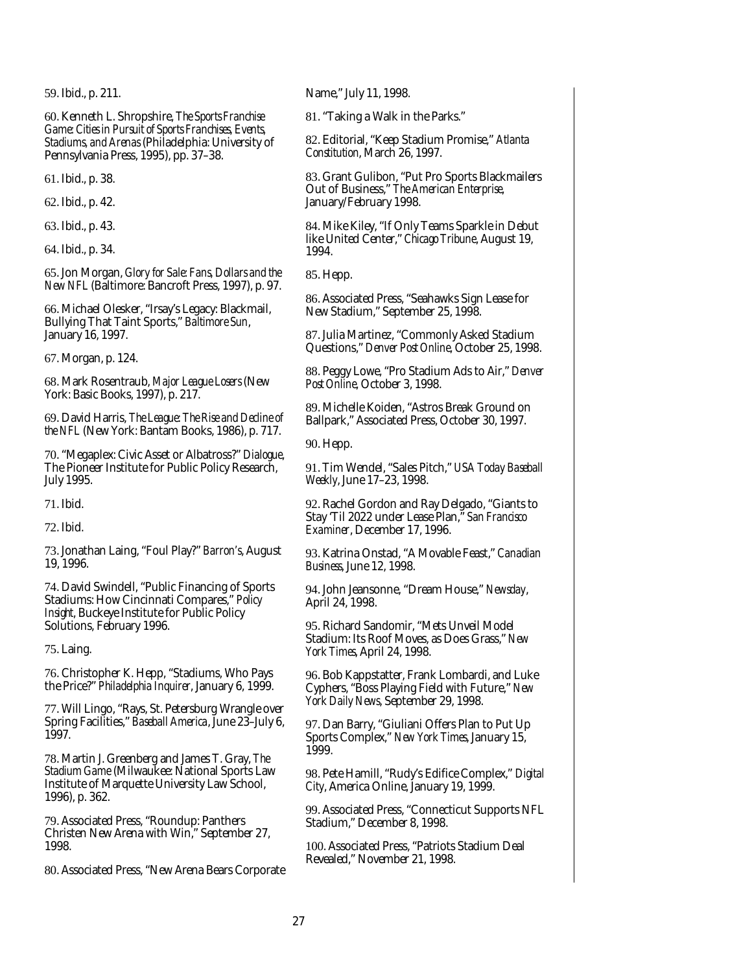59. Ibid., p. 211.

60. Kenneth L. Shropshire, *The Sports Franchise Game: Cities in Pursuit of Sports Franchises, Events, Stadiums, and Arenas* (Philadelphia: University of Pennsylvania Press, 1995), pp. 37–38.

61. Ibid., p. 38.

62. Ibid., p. 42.

63. Ibid., p. 43.

64. Ibid., p. 34.

65. Jon Morgan, *Glory for Sale: Fans, Dollars and the New NFL* (Baltimore: Bancroft Press, 1997), p. 97.

66. Michael Olesker, "Irsay's Legacy: Blackmail, Bullying That Taint Sports," *Baltimore Sun*, January 16, 1997.

67. Morgan, p. 124.

68. Mark Rosentraub, *Major League Losers* (New York: Basic Books, 1997), p. 217.

69. David Harris, *The League: The Rise and Decline of the NFL* (New York: Bantam Books, 1986), p. 717.

70. "Megaplex: Civic Asset or Albatross?" *Dialogue*, The Pioneer Institute for Public Policy Research, July 1995.

71. Ibid.

72. Ibid.

73. Jonathan Laing, "Foul Play?" *Barron's*, August 19, 1996.

74. David Swindell, "Public Financing of Sports Stadiums: How Cincinnati Compares," *Policy Insight*, Buckeye Institute for Public Policy Solutions, February 1996.

75. Laing.

76. Christopher K. Hepp, "Stadiums, Who Pays the Price?" *Philadelphia Inquirer*, January 6, 1999.

77. Will Lingo, "Rays, St. Petersburg Wrangle over Spring Facilities," *Baseball America*, June 23–July 6, 1997.

78. Martin J. Greenberg and James T. Gray, *The Stadium Game* (Milwaukee: National Sports Law Institute of Marquette University Law School, 1996), p. 362.

79. Associated Press, "Roundup: Panthers Christen New Arena with Win," September 27, 1998.

80. Associated Press, "New Arena Bears Corporate

Name," July 11, 1998.

81. "Taking a Walk in the Parks."

82. Editorial, "Keep Stadium Promise," *Atlanta Constitution*, March 26, 1997.

83. Grant Gulibon, "Put Pro Sports Blackmailers Out of Business," *The American Enterprise*, January/February 1998.

84. Mike Kiley, "If Only Teams Sparkle in Debut like United Center," *Chicago Tribune*, August 19, 1994.

85. Hepp.

86. Associated Press, "Seahawks Sign Lease for New Stadium," September 25, 1998.

87. Julia Martinez, "Commonly Asked Stadium Questions," *Denver Post Online*, October 25, 1998.

88. Peggy Lowe, "Pro Stadium Ads to Air," *Denver Post Online*, October 3, 1998.

89. Michelle Koiden, "Astros Break Ground on Ballpark," Associated Press, October 30, 1997.

90. Hepp.

91. Tim Wendel, "Sales Pitch," *USA Today Baseball Weekly*, June 17–23, 1998.

92. Rachel Gordon and Ray Delgado, "Giants to Stay 'Til 2022 under Lease Plan," *San Francisco Examiner*, December 17, 1996.

93. Katrina Onstad, "A Movable Feast," *Canadian Business*, June 12, 1998.

94. John Jeansonne, "Dream House," *Newsday*, April 24, 1998.

95. Richard Sandomir, "Mets Unveil Model Stadium: Its Roof Moves, as Does Grass," *New York Times*, April 24, 1998.

96. Bob Kappstatter, Frank Lombardi, and Luke Cyphers, "Boss Playing Field with Future," *New York Daily News*, September 29, 1998.

97. Dan Barry, "Giuliani Offers Plan to Put Up Sports Complex," *New York Times*, January 15, 1999.

98. Pete Hamill, "Rudy's Edifice Complex," *Digital City*, America Online, January 19, 1999.

99. Associated Press, "Connecticut Supports NFL Stadium," December 8, 1998.

100. Associated Press, "Patriots Stadium Deal Revealed," November 21, 1998.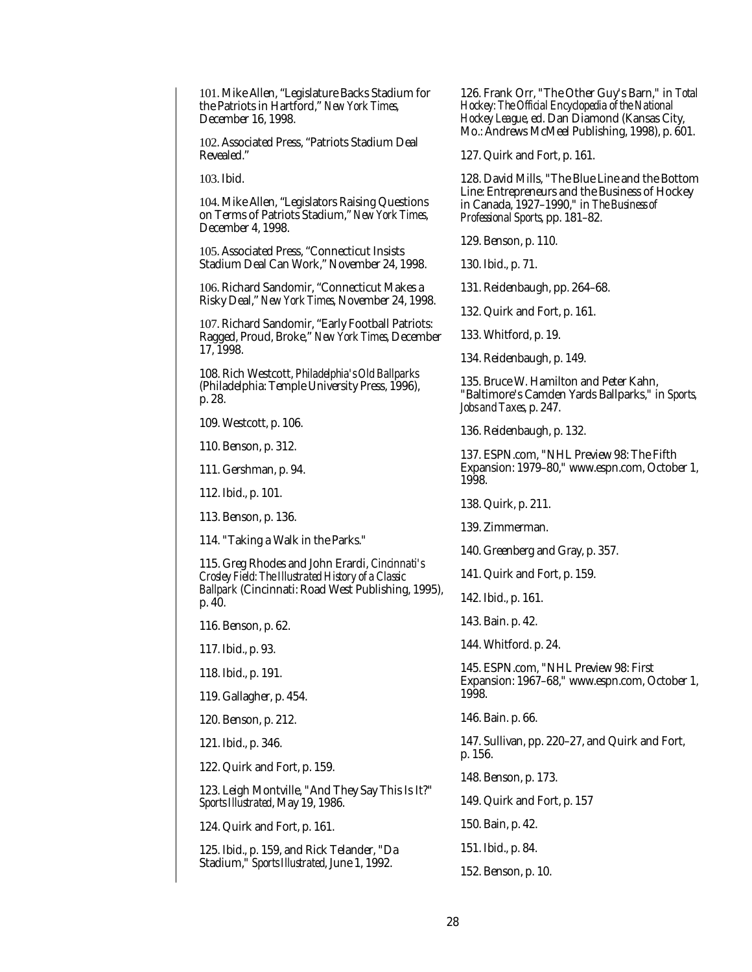101. Mike Allen, "Legislature Backs Stadium for the Patriots in Hartford," *New York Times*, December 16, 1998.

102. Associated Press, "Patriots Stadium Deal Revealed."

103. Ibid.

104. Mike Allen, "Legislators Raising Questions on Terms of Patriots Stadium," *New York Times*, December 4, 1998.

105. Associated Press, "Connecticut Insists Stadium Deal Can Work," November 24, 1998.

106. Richard Sandomir, "Connecticut Makes a Risky Deal," *New York Times*, November 24, 1998.

107. Richard Sandomir, "Early Football Patriots: Ragged, Proud, Broke," *New York Times*, December 17, 1998.

108. Rich Westcott, *Philadelphia's Old Ballparks* (Philadelphia: Temple University Press, 1996), p. 28.

109. Westcott, p. 106.

110. Benson, p. 312.

111. Gershman, p. 94.

112. Ibid., p. 101.

113. Benson, p. 136.

114. "Taking a Walk in the Parks."

115. Greg Rhodes and John Erardi, *Cincinnati's Crosley Field: The Illustrated History of a Classic Ballpark* (Cincinnati: Road West Publishing, 1995), p. 40.

116. Benson, p. 62.

117. Ibid., p. 93.

118. Ibid., p. 191.

119. Gallagher, p. 454.

120. Benson, p. 212.

121. Ibid., p. 346.

122. Quirk and Fort, p. 159.

123. Leigh Montville, "And They Say This Is It?" *Sports Illustrated*, May 19, 1986.

124. Quirk and Fort, p. 161.

125. Ibid., p. 159, and Rick Telander, "Da Stadium," *Sports Illustrated*, June 1, 1992.

126. Frank Orr, "The Other Guy's Barn," in *Total Hockey: The Official Encyclopedia of the National Hockey League*, ed. Dan Diamond (Kansas City, Mo.: Andrews McMeel Publishing, 1998), p. 601.

127. Quirk and Fort, p. 161.

128. David Mills, "The Blue Line and the Bottom Line: Entrepreneurs and the Business of Hockey in Canada, 1927–1990," in *The Business of Professional Sports*, pp. 181–82.

129. Benson, p. 110.

130. Ibid., p. 71.

131. Reidenbaugh, pp. 264–68.

132. Quirk and Fort, p. 161.

133. Whitford, p. 19.

134. Reidenbaugh, p. 149.

135. Bruce W. Hamilton and Peter Kahn, "Baltimore's Camden Yards Ballparks," in *Sports, Jobs and Taxes*, p. 247.

136. Reidenbaugh, p. 132.

137. ESPN.com, "NHL Preview 98: The Fifth Expansion: 1979–80," www.espn.com, October 1, 1998.

138. Quirk, p. 211.

139. Zimmerman.

140. Greenberg and Gray, p. 357.

141. Quirk and Fort, p. 159.

142. Ibid., p. 161.

143. Bain. p. 42.

144. Whitford. p. 24.

145. ESPN.com, "NHL Preview 98: First Expansion: 1967–68," www.espn.com, October 1, 1998.

146. Bain. p. 66.

147. Sullivan, pp. 220–27, and Quirk and Fort, p. 156.

148. Benson, p. 173.

149. Quirk and Fort, p. 157

150. Bain, p. 42.

151. Ibid., p. 84.

152. Benson, p. 10.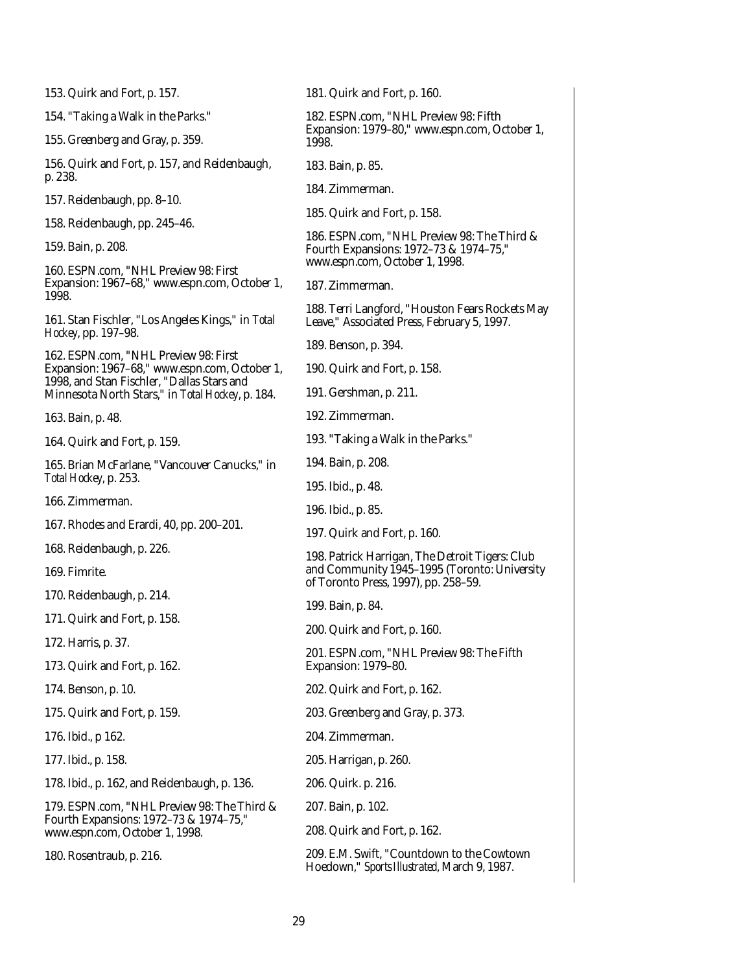| 153. Quirk and Fort, p. 157.                                                                    | 181. Quirk and Fort, p. 160.                                                                                                            |  |  |  |  |
|-------------------------------------------------------------------------------------------------|-----------------------------------------------------------------------------------------------------------------------------------------|--|--|--|--|
| 154. "Taking a Walk in the Parks."                                                              | 182. ESPN.com, "NHL Preview 98: Fifth<br>Expansion: 1979-80," www.espn.com, October 1,<br>1998.                                         |  |  |  |  |
| 155. Greenberg and Gray, p. 359.                                                                |                                                                                                                                         |  |  |  |  |
| 156. Quirk and Fort, p. 157, and Reidenbaugh,<br>p. 238.                                        | 183. Bain, p. 85.                                                                                                                       |  |  |  |  |
| 157. Reidenbaugh, pp. 8-10.                                                                     | 184. Zimmerman.                                                                                                                         |  |  |  |  |
| 158. Reidenbaugh, pp. 245-46.                                                                   | 185. Quirk and Fort, p. 158.                                                                                                            |  |  |  |  |
| 159. Bain, p. 208.                                                                              | 186. ESPN.com, "NHL Preview 98: The Third &<br>Fourth Expansions: 1972-73 & 1974-75,"<br>www.espn.com, October 1, 1998.                 |  |  |  |  |
| 160. ESPN.com, "NHL Preview 98: First<br>Expansion: 1967-68," www.espn.com, October 1,<br>1998. | 187. Zimmerman.                                                                                                                         |  |  |  |  |
| 161. Stan Fischler, "Los Angeles Kings," in Total<br><i>Hockey</i> , pp. 197–98.                | 188. Terri Langford, "Houston Fears Rockets May<br>Leave," Associated Press, February 5, 1997.                                          |  |  |  |  |
| 162. ESPN.com, "NHL Preview 98: First                                                           | 189. Benson, p. 394.                                                                                                                    |  |  |  |  |
| Expansion: 1967-68," www.espn.com, October 1,                                                   | 190. Quirk and Fort, p. 158.                                                                                                            |  |  |  |  |
| 1998, and Stan Fischler, "Dallas Stars and<br>Minnesota North Stars," in Total Hockey, p. 184.  | 191. Gershman, p. 211.                                                                                                                  |  |  |  |  |
| 163. Bain, p. 48.                                                                               | 192. Zimmerman.                                                                                                                         |  |  |  |  |
| 164. Quirk and Fort, p. 159.                                                                    | 193. "Taking a Walk in the Parks."                                                                                                      |  |  |  |  |
| 165. Brian McFarlane, "Vancouver Canucks," in                                                   | 194. Bain, p. 208.                                                                                                                      |  |  |  |  |
| Total Hockey, p. 253.                                                                           | 195. Ibid., p. 48.                                                                                                                      |  |  |  |  |
| 166. Zimmerman.                                                                                 | 196. Ibid., p. 85.                                                                                                                      |  |  |  |  |
| 167. Rhodes and Erardi, 40, pp. 200–201.                                                        | 197. Quirk and Fort, p. 160.                                                                                                            |  |  |  |  |
| 168. Reidenbaugh, p. 226.                                                                       | 198. Patrick Harrigan, The Detroit Tigers: Club<br>and Community 1945-1995 (Toronto: University<br>of Toronto Press, 1997), pp. 258-59. |  |  |  |  |
| 169. Fimrite.                                                                                   |                                                                                                                                         |  |  |  |  |
| 170. Reidenbaugh, p. 214.                                                                       | 199. Bain, p. 84.                                                                                                                       |  |  |  |  |
| 171. Quirk and Fort, p. 158.                                                                    | 200. Quirk and Fort, p. 160.                                                                                                            |  |  |  |  |
| 172. Harris, p. 37.                                                                             | 201. ESPN.com, "NHL Preview 98: The Fifth                                                                                               |  |  |  |  |
| 173. Quirk and Fort, p. 162.                                                                    | Expansion: 1979-80.                                                                                                                     |  |  |  |  |
| 174. Benson, p. 10.                                                                             | 202. Quirk and Fort, p. 162.                                                                                                            |  |  |  |  |
| 175. Quirk and Fort, p. 159.                                                                    | 203. Greenberg and Gray, p. 373.                                                                                                        |  |  |  |  |
| 176. Ibid., p 162.                                                                              | 204. Zimmerman.                                                                                                                         |  |  |  |  |
| 177. Ibid., p. 158.                                                                             | 205. Harrigan, p. 260.                                                                                                                  |  |  |  |  |
| 178. Ibid., p. 162, and Reidenbaugh, p. 136.                                                    | 206. Quirk. p. 216.                                                                                                                     |  |  |  |  |
| 179. ESPN.com, "NHL Preview 98: The Third &                                                     | 207. Bain, p. 102.                                                                                                                      |  |  |  |  |
| Fourth Expansions: 1972-73 & 1974-75,"<br>www.espn.com, October 1, 1998.                        | 208. Quirk and Fort, p. 162.                                                                                                            |  |  |  |  |
| 180. Rosentraub, p. 216.                                                                        | 209. E.M. Swift, "Countdown to the Cowtown<br>Hoedown," Sports Illustrated, March 9, 1987.                                              |  |  |  |  |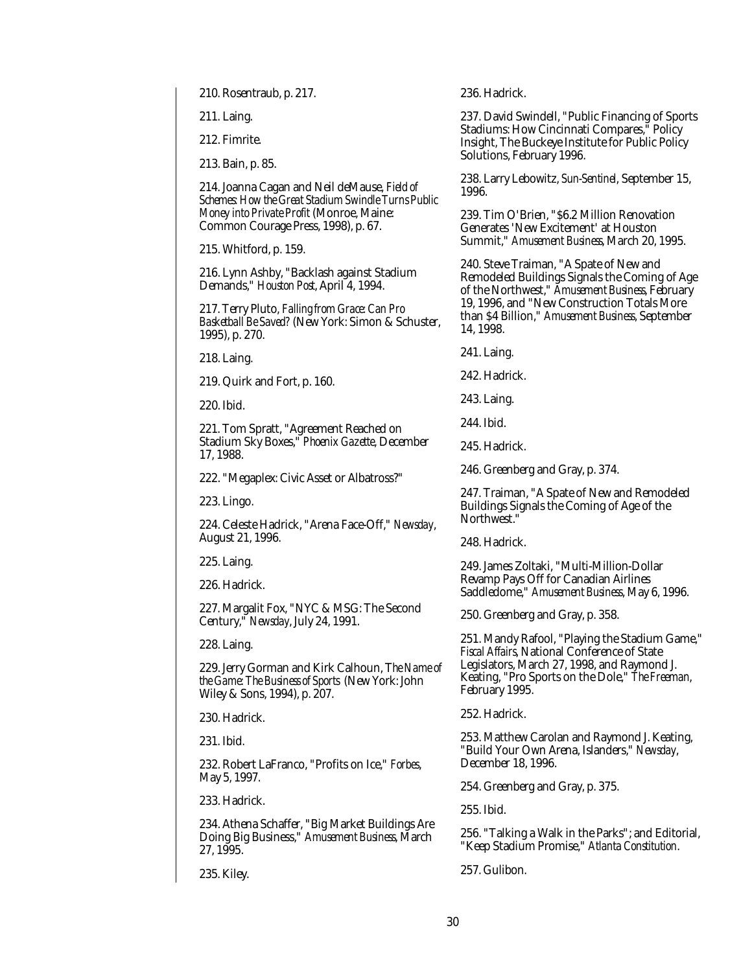210. Rosentraub, p. 217.

211. Laing.

212. Fimrite.

213. Bain, p. 85.

214. Joanna Cagan and Neil deMause, *Field of Schemes: How the Great Stadium Swindle Turns Public Money into Private Profit* (Monroe, Maine: Common Courage Press, 1998), p. 67.

215. Whitford, p. 159.

216. Lynn Ashby, "Backlash against Stadium Demands," *Houston Post*, April 4, 1994.

217. Terry Pluto, *Falling from Grace: Can Pro Basketball Be Saved?* (New York: Simon & Schuster, 1995), p. 270.

218. Laing.

219. Quirk and Fort, p. 160.

220. Ibid.

221. Tom Spratt, "Agreement Reached on Stadium Sky Boxes," *Phoenix Gazette*, December 17, 1988.

222. "Megaplex: Civic Asset or Albatross?"

223. Lingo.

224. Celeste Hadrick, "Arena Face-Off," *Newsday*, August 21, 1996.

225. Laing.

226. Hadrick.

227. Margalit Fox, "NYC & MSG: The Second Century," *Newsday*, July 24, 1991.

228. Laing.

229. Jerry Gorman and Kirk Calhoun, T*he Name of the Game: The Business of Sports* (New York: John Wiley & Sons, 1994), p. 207.

230. Hadrick.

231. Ibid.

232. Robert LaFranco, "Profits on Ice," *Forbes*, May 5, 1997.

233. Hadrick.

234. Athena Schaffer, "Big Market Buildings Are Doing Big Business," *Amusement Business*, March 27, 1995.

235. Kiley.

236. Hadrick.

237. David Swindell, "Public Financing of Sports Stadiums: How Cincinnati Compares," Policy Insight, The Buckeye Institute for Public Policy Solutions, February 1996.

238. Larry Lebowitz, *Sun-Sentinel*, September 15, 1996.

239. Tim O'Brien, "\$6.2 Million Renovation Generates 'New Excitement' at Houston Summit," *Amusement Business*, March 20, 1995.

240. Steve Traiman, "A Spate of New and Remodeled Buildings Signals the Coming of Age of the Northwest," *Amusement Business*, February 19, 1996, and "New Construction Totals More than \$4 Billion," *Amusement Business*, September 14, 1998.

241. Laing.

242. Hadrick.

243. Laing.

244. Ibid.

245. Hadrick.

246. Greenberg and Gray, p. 374.

247. Traiman, "A Spate of New and Remodeled Buildings Signals the Coming of Age of the Northwest."

248. Hadrick.

249. James Zoltaki, "Multi-Million-Dollar Revamp Pays Off for Canadian Airlines Saddledome," *Amusement Business*, May 6, 1996.

250. Greenberg and Gray, p. 358.

251. Mandy Rafool, "Playing the Stadium Game," *Fiscal Affairs*, National Conference of State Legislators, March 27, 1998, and Raymond J. Keating, "Pro Sports on the Dole," *The Freeman*, February 1995.

252. Hadrick.

253. Matthew Carolan and Raymond J. Keating, "Build Your Own Arena, Islanders," *Newsday*, December 18, 1996.

254. Greenberg and Gray, p. 375.

255. Ibid.

256. "Talking a Walk in the Parks"; and Editorial, "Keep Stadium Promise," *Atlanta Constitution*.

257. Gulibon.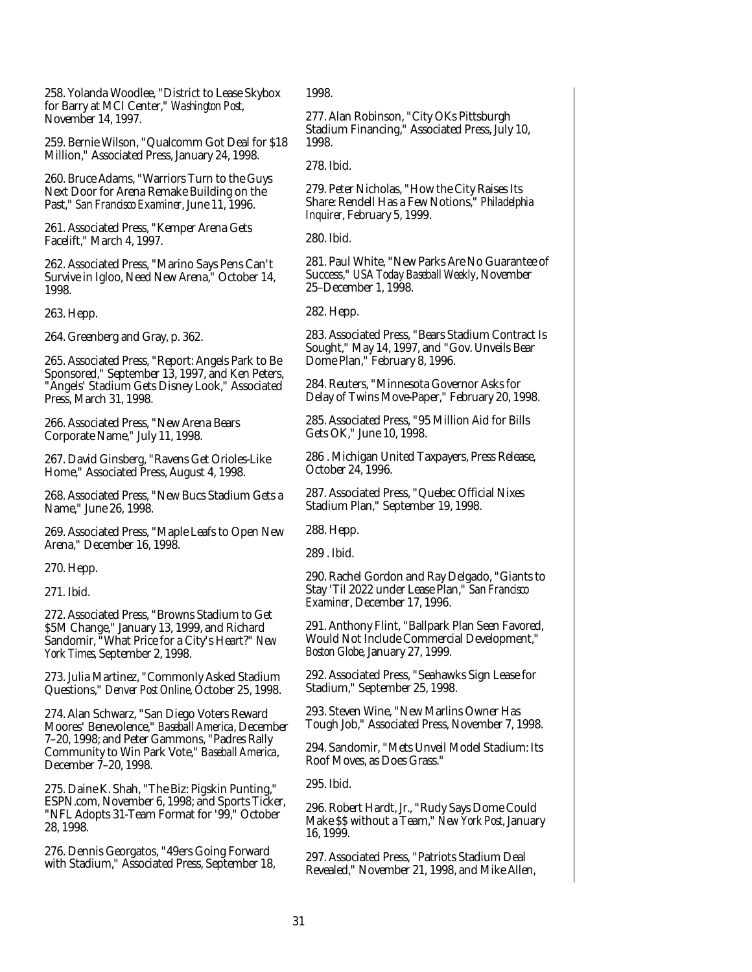258. Yolanda Woodlee, "District to Lease Skybox for Barry at MCI Center," *Washington Post*, November 14, 1997.

259. Bernie Wilson, "Qualcomm Got Deal for \$18 Million," Associated Press, January 24, 1998.

260. Bruce Adams, "Warriors Turn to the Guys Next Door for Arena Remake Building on the Past," *San Francisco Examiner*, June 11, 1996.

261. Associated Press, "Kemper Arena Gets Facelift," March 4, 1997.

262. Associated Press, "Marino Says Pens Can't Survive in Igloo, Need New Arena," October 14, 1998.

263. Hepp.

264. Greenberg and Gray, p. 362.

265. Associated Press, "Report: Angels Park to Be Sponsored," September 13, 1997, and Ken Peters, "Angels' Stadium Gets Disney Look," Associated Press, March 31, 1998.

266. Associated Press, "New Arena Bears Corporate Name," July 11, 1998.

267. David Ginsberg, "Ravens Get Orioles-Like Home," Associated Press, August 4, 1998.

268. Associated Press, "New Bucs Stadium Gets a Name," June 26, 1998.

269. Associated Press, "Maple Leafs to Open New Arena," December 16, 1998.

270. Hepp.

271. Ibid.

272. Associated Press, "Browns Stadium to Get \$5M Change," January 13, 1999, and Richard Sandomir, "What Price for a City's Heart?" *New York Times*, September 2, 1998.

273. Julia Martinez, "Commonly Asked Stadium Questions," *Denver Post Online*, October 25, 1998.

274. Alan Schwarz, "San Diego Voters Reward Moores' Benevolence," *Baseball America*, December 7–20, 1998; and Peter Gammons, "Padres Rally Community to Win Park Vote," *Baseball America*, December 7–20, 1998.

275. Daine K. Shah, "The Biz: Pigskin Punting," ESPN.com, November 6, 1998; and Sports Ticker, "NFL Adopts 31-Team Format for '99," October 28, 1998.

276. Dennis Georgatos, "49ers Going Forward with Stadium," Associated Press, September 18, 1998.

277. Alan Robinson, "City OKs Pittsburgh Stadium Financing," Associated Press, July 10, 1998.

278. Ibid.

279. Peter Nicholas, "How the City Raises Its Share: Rendell Has a Few Notions," *Philadelphia Inquirer*, February 5, 1999.

280. Ibid.

281. Paul White, "New Parks Are No Guarantee of Success," *USA Today Baseball Weekly*, November 25–December 1, 1998.

282. Hepp.

283. Associated Press, "Bears Stadium Contract Is Sought," May 14, 1997, and "Gov. Unveils Bear Dome Plan," February 8, 1996.

284. Reuters, "Minnesota Governor Asks for Delay of Twins Move-Paper," February 20, 1998.

285. Associated Press, "95 Million Aid for Bills Gets OK," June 10, 1998.

286 . Michigan United Taxpayers, Press Release, October 24, 1996.

287. Associated Press, "Quebec Official Nixes Stadium Plan," September 19, 1998.

288. Hepp.

289 . Ibid.

290. Rachel Gordon and Ray Delgado, "Giants to Stay 'Til 2022 under Lease Plan," *San Francisco Examiner*, December 17, 1996.

291. Anthony Flint, "Ballpark Plan Seen Favored, Would Not Include Commercial Development," *Boston Globe*, January 27, 1999.

292. Associated Press, "Seahawks Sign Lease for Stadium," September 25, 1998.

293. Steven Wine, "New Marlins Owner Has Tough Job," Associated Press, November 7, 1998.

294. Sandomir, "Mets Unveil Model Stadium: Its Roof Moves, as Does Grass."

295. Ibid.

296. Robert Hardt, Jr., "Rudy Says Dome Could Make \$\$ without a Team," *New York Post*, January 16, 1999.

297. Associated Press, "Patriots Stadium Deal Revealed," November 21, 1998, and Mike Allen,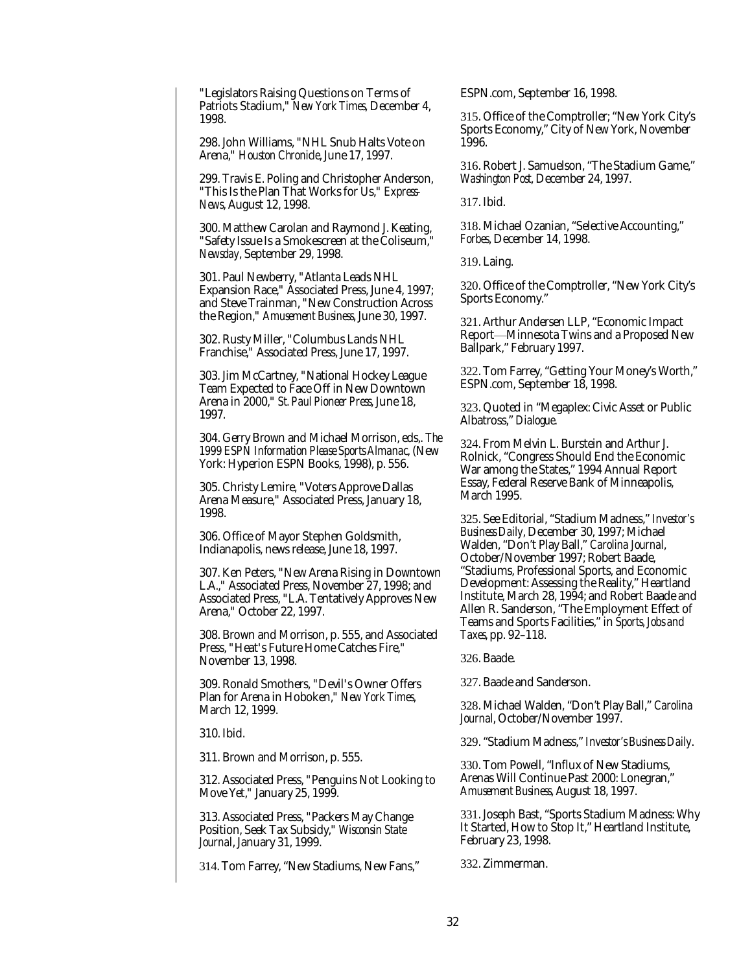"Legislators Raising Questions on Terms of Patriots Stadium," *New York Times*, December 4, 1998.

298. John Williams, "NHL Snub Halts Vote on Arena," *Houston Chronicle*, June 17, 1997.

299. Travis E. Poling and Christopher Anderson, "This Is the Plan That Works for Us," *Express-News*, August 12, 1998.

300. Matthew Carolan and Raymond J. Keating, "Safety Issue Is a Smokescreen at the Coliseum," *Newsday*, September 29, 1998.

301. Paul Newberry, "Atlanta Leads NHL Expansion Race," Associated Press, June 4, 1997; and Steve Trainman, "New Construction Across the Region," *Amusement Business*, June 30, 1997.

302. Rusty Miller, "Columbus Lands NHL Franchise," Associated Press, June 17, 1997.

303. Jim McCartney, "National Hockey League Team Expected to Face Off in New Downtown Arena in 2000," *St. Paul Pioneer Press*, June 18, 1997.

304. Gerry Brown and Michael Morrison, eds,. *The 1999 ESPN Information Please Sports Almanac*, (New York: Hyperion ESPN Books, 1998), p. 556.

305. Christy Lemire, "Voters Approve Dallas Arena Measure," Associated Press, January 18, 1998.

306. Office of Mayor Stephen Goldsmith, Indianapolis, news release, June 18, 1997.

307. Ken Peters, "New Arena Rising in Downtown L.A.," Associated Press, November 27, 1998; and Associated Press, "L.A. Tentatively Approves New Arena," October 22, 1997.

308. Brown and Morrison, p. 555, and Associated Press, "Heat's Future Home Catches Fire," November 13, 1998.

309. Ronald Smothers, "Devil's Owner Offers Plan for Arena in Hoboken," *New York Times*, March 12, 1999.

310. Ibid.

311. Brown and Morrison, p. 555.

312. Associated Press, "Penguins Not Looking to Move Yet," January 25, 1999.

313. Associated Press, "Packers May Change Position, Seek Tax Subsidy," *Wisconsin State Journa*l, January 31, 1999.

314. Tom Farrey, "New Stadiums, New Fans,"

ESPN.com, September 16, 1998.

315. Office of the Comptroller; "New York City's Sports Economy," City of New York, November 1996.

316. Robert J. Samuelson, "The Stadium Game," *Washington Post*, December 24, 1997.

317. Ibid.

318. Michael Ozanian, "Selective Accounting," *Forbes*, December 14, 1998.

319. Laing.

320. Office of the Comptroller, "New York City's Sports Economy."

321. Arthur Andersen LLP, "Economic Impact Report—Minnesota Twins and a Proposed New Ballpark," February 1997.

322. Tom Farrey, "Getting Your Money's Worth," ESPN.com, September 18, 1998.

323. Quoted in "Megaplex: Civic Asset or Public Albatross," *Dialogue*.

324. From Melvin L. Burstein and Arthur J. Rolnick, "Congress Should End the Economic War among the States," 1994 Annual Report Essay, Federal Reserve Bank of Minneapolis, March 1995.

325. See Editorial, "Stadium Madness," *Investor's Business Daily*, December 30, 1997; Michael Walden, "Don't Play Ball," *Carolina Journal*, October/November 1997; Robert Baade, "Stadiums, Professional Sports, and Economic Development: Assessing the Reality," Heartland Institute, March 28, 1994; and Robert Baade and Allen R. Sanderson, "The Employment Effect of Teams and Sports Facilities," in *Sports, Jobs and Taxes,* pp. 92–118.

326. Baade.

327. Baade and Sanderson.

328. Michael Walden, "Don't Play Ball," *Carolina Journal*, October/November 1997.

329. "Stadium Madness," *Investor's Business Daily*.

330. Tom Powell, "Influx of New Stadiums, Arenas Will Continue Past 2000: Lonegran," *Amusement Business*, August 18, 1997.

331. Joseph Bast, "Sports Stadium Madness: Why It Started, How to Stop It," Heartland Institute, February 23, 1998.

332. Zimmerman.